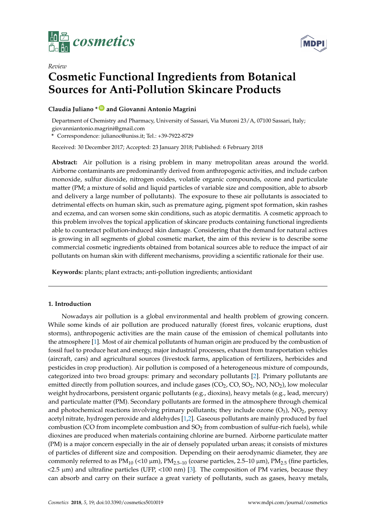



# *Review* **Cosmetic Functional Ingredients from Botanical Sources for Anti-Pollution Skincare Products**

# **Claudia Juliano \* [ID](https://orcid.org/0000-0001-7431-414X) and Giovanni Antonio Magrini**

Department of Chemistry and Pharmacy, University of Sassari, Via Muroni 23/A, 07100 Sassari, Italy; giovanniantonio.magrini@gmail.com

**\*** Correspondence: julianoc@uniss.it; Tel.: +39-7922-8729

Received: 30 December 2017; Accepted: 23 January 2018; Published: 6 February 2018

**Abstract:** Air pollution is a rising problem in many metropolitan areas around the world. Airborne contaminants are predominantly derived from anthropogenic activities, and include carbon monoxide, sulfur dioxide, nitrogen oxides, volatile organic compounds, ozone and particulate matter (PM; a mixture of solid and liquid particles of variable size and composition, able to absorb and delivery a large number of pollutants). The exposure to these air pollutants is associated to detrimental effects on human skin, such as premature aging, pigment spot formation, skin rashes and eczema, and can worsen some skin conditions, such as atopic dermatitis. A cosmetic approach to this problem involves the topical application of skincare products containing functional ingredients able to counteract pollution-induced skin damage. Considering that the demand for natural actives is growing in all segments of global cosmetic market, the aim of this review is to describe some commercial cosmetic ingredients obtained from botanical sources able to reduce the impact of air pollutants on human skin with different mechanisms, providing a scientific rationale for their use.

**Keywords:** plants; plant extracts; anti-pollution ingredients; antioxidant

# **1. Introduction**

Nowadays air pollution is a global environmental and health problem of growing concern. While some kinds of air pollution are produced naturally (forest fires, volcanic eruptions, dust storms), anthropogenic activities are the main cause of the emission of chemical pollutants into the atmosphere [\[1\]](#page-11-0). Most of air chemical pollutants of human origin are produced by the combustion of fossil fuel to produce heat and energy, major industrial processes, exhaust from transportation vehicles (aircraft, cars) and agricultural sources (livestock farms, application of fertilizers, herbicides and pesticides in crop production). Air pollution is composed of a heterogeneous mixture of compounds, categorized into two broad groups: primary and secondary pollutants [\[2\]](#page-11-1). Primary pollutants are emitted directly from pollution sources, and include gases  $(CO<sub>2</sub>, CO, SO<sub>2</sub>, NO, NO<sub>2</sub>)$ , low molecular weight hydrocarbons, persistent organic pollutants (e.g., dioxins), heavy metals (e.g., lead, mercury) and particulate matter (PM). Secondary pollutants are formed in the atmosphere through chemical and photochemical reactions involving primary pollutants; they include ozone  $(O_3)$ ,  $NO_2$ , peroxy acetyl nitrate, hydrogen peroxide and aldehydes [\[1,](#page-11-0)[2\]](#page-11-1). Gaseous pollutants are mainly produced by fuel combustion (CO from incomplete combustion and  $SO<sub>2</sub>$  from combustion of sulfur-rich fuels), while dioxines are produced when materials containing chlorine are burned. Airborne particulate matter (PM) is a major concern especially in the air of densely populated urban areas; it consists of mixtures of particles of different size and composition. Depending on their aerodynamic diameter, they are commonly referred to as  $PM_{10}$  (<10  $\mu$ m),  $PM_{2.5-10}$  (coarse particles, 2.5–10  $\mu$ m),  $PM_{2.5}$  (fine particles,  $<$ 2.5  $\mu$ m) and ultrafine particles (UFP,  $<$ 100 nm) [\[3\]](#page-11-2). The composition of PM varies, because they can absorb and carry on their surface a great variety of pollutants, such as gases, heavy metals,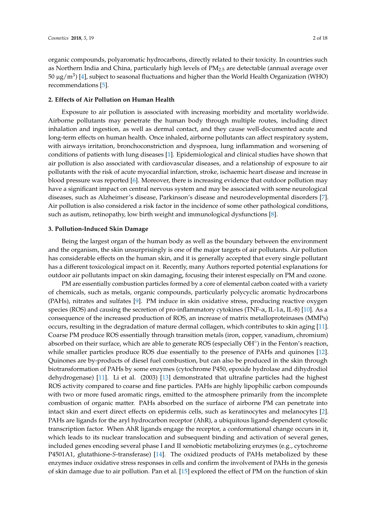organic compounds, polyaromatic hydrocarbons, directly related to their toxicity. In countries such as Northern India and China, particularly high levels of  $PM_{2.5}$  are detectable (annual average over 50 μg/m<sup>3</sup>) [\[4\]](#page-11-3), subject to seasonal fluctuations and higher than the World Health Organization (WHO) recommendations [\[5\]](#page-11-4).

# **2. Effects of Air Pollution on Human Health**

Exposure to air pollution is associated with increasing morbidity and mortality worldwide. Airborne pollutants may penetrate the human body through multiple routes, including direct inhalation and ingestion, as well as dermal contact, and they cause well-documented acute and long-term effects on human health. Once inhaled, airborne pollutants can affect respiratory system, with airways irritation, bronchoconstriction and dyspnoea, lung inflammation and worsening of conditions of patients with lung diseases [\[1\]](#page-11-0). Epidemiological and clinical studies have shown that air pollution is also associated with cardiovascular diseases, and a relationship of exposure to air pollutants with the risk of acute myocardial infarction, stroke, ischaemic heart disease and increase in blood pressure was reported [\[6\]](#page-11-5). Moreover, there is increasing evidence that outdoor pollution may have a significant impact on central nervous system and may be associated with some neurological diseases, such as Alzheimer's disease, Parkinson's disease and neurodevelopmental disorders [\[7\]](#page-11-6). Air pollution is also considered a risk factor in the incidence of some other pathological conditions, such as autism, retinopathy, low birth weight and immunological dysfunctions [\[8\]](#page-11-7).

#### **3. Pollution-Induced Skin Damage**

Being the largest organ of the human body as well as the boundary between the environment and the organism, the skin unsurprisingly is one of the major targets of air pollutants. Air pollution has considerable effects on the human skin, and it is generally accepted that every single pollutant has a different toxicological impact on it. Recently, many Authors reported potential explanations for outdoor air pollutants impact on skin damaging, focusing their interest especially on PM and ozone.

PM are essentially combustion particles formed by a core of elemental carbon coated with a variety of chemicals, such as metals, organic compounds, particularly polycyclic aromatic hydrocarbons (PAHs), nitrates and sulfates [\[9\]](#page-11-8). PM induce in skin oxidative stress, producing reactive oxygen species (ROS) and causing the secretion of pro-inflammatory cytokines (TNF- $\alpha$ , IL-1 $\alpha$ , IL-8) [\[10\]](#page-11-9). As a consequence of the increased production of ROS, an increase of matrix metalloproteinases (MMPs) occurs, resulting in the degradation of mature dermal collagen, which contributes to skin aging [\[11\]](#page-11-10). Coarse PM produce ROS essentially through transition metals (iron, copper, vanadium, chromium) absorbed on their surface, which are able to generate ROS (especially OH<sup>°</sup>) in the Fenton's reaction, while smaller particles produce ROS due essentially to the presence of PAHs and quinones [\[12\]](#page-11-11). Quinones are by-products of diesel fuel combustion, but can also be produced in the skin through biotransformation of PAHs by some enzymes (cytochrome P450, epoxide hydrolase and dihydrodiol dehydrogenase) [\[11\]](#page-11-10). Li et al. (2003) [\[13\]](#page-11-12) demonstrated that ultrafine particles had the highest ROS activity compared to coarse and fine particles. PAHs are highly lipophilic carbon compounds with two or more fused aromatic rings, emitted to the atmosphere primarily from the incomplete combustion of organic matter. PAHs absorbed on the surface of airborne PM can penetrate into intact skin and exert direct effects on epidermis cells, such as keratinocytes and melanocytes [\[2\]](#page-11-1). PAHs are ligands for the aryl hydrocarbon receptor (AhR), a ubiquitous ligand-dependent cytosolic transcription factor. When AhR ligands engage the receptor, a conformational change occurs in it, which leads to its nuclear translocation and subsequent binding and activation of several genes, included genes encoding several phase I and II xenobiotic metabolizing enzymes (e.g., cytochrome P4501A1, glutathione-*S*-transferase) [\[14\]](#page-11-13). The oxidized products of PAHs metabolized by these enzymes induce oxidative stress responses in cells and confirm the involvement of PAHs in the genesis of skin damage due to air pollution. Pan et al. [\[15\]](#page-11-14) explored the effect of PM on the function of skin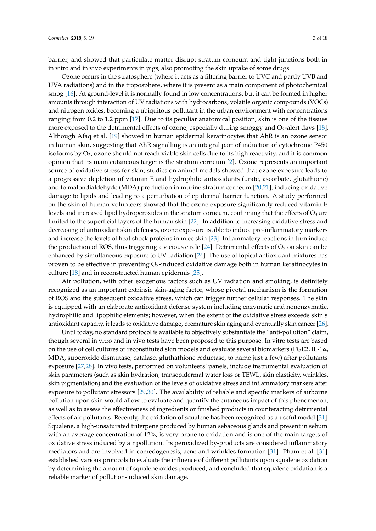barrier, and showed that particulate matter disrupt stratum corneum and tight junctions both in in vitro and in vivo experiments in pigs, also promoting the skin uptake of some drugs.

Ozone occurs in the stratosphere (where it acts as a filtering barrier to UVC and partly UVB and UVA radiations) and in the troposphere, where it is present as a main component of photochemical smog [\[16\]](#page-11-15). At ground-level it is normally found in low concentrations, but it can be formed in higher amounts through interaction of UV radiations with hydrocarbons, volatile organic compounds (VOCs) and nitrogen oxides, becoming a ubiquitous pollutant in the urban environment with concentrations ranging from 0.2 to 1.2 ppm [\[17\]](#page-12-0). Due to its peculiar anatomical position, skin is one of the tissues more exposed to the detrimental effects of ozone, especially during smoggy and  $O_3$ -alert days [\[18\]](#page-12-1). Although Afaq et al. [\[19\]](#page-12-2) showed in human epidermal keratinocytes that AhR is an ozone sensor in human skin, suggesting that AhR signalling is an integral part of induction of cytochrome P450 isoforms by  $O_3$ , ozone should not reach viable skin cells due to its high reactivity, and it is common opinion that its main cutaneous target is the stratum corneum [\[2\]](#page-11-1). Ozone represents an important source of oxidative stress for skin; studies on animal models showed that ozone exposure leads to a progressive depletion of vitamin E and hydrophilic antioxidants (urate, ascorbate, glutathione) and to malondialdehyde (MDA) production in murine stratum corneum [\[20,](#page-12-3)[21\]](#page-12-4), inducing oxidative damage to lipids and leading to a perturbation of epidermal barrier function. A study performed on the skin of human volunteers showed that the ozone exposure significantly reduced vitamin E levels and increased lipid hydroperoxides in the stratum corneum, confirming that the effects of  $O_3$  are limited to the superficial layers of the human skin [\[22\]](#page-12-5). In addition to increasing oxidative stress and decreasing of antioxidant skin defenses, ozone exposure is able to induce pro-inflammatory markers and increase the levels of heat shock proteins in mice skin [\[23\]](#page-12-6). Inflammatory reactions in turn induce the production of ROS, thus triggering a vicious circle [\[24\]](#page-12-7). Detrimental effects of  $O_3$  on skin can be enhanced by simultaneous exposure to UV radiation [\[24\]](#page-12-7). The use of topical antioxidant mixtures has proven to be effective in preventing  $O_3$ -induced oxidative damage both in human keratinocytes in culture [\[18\]](#page-12-1) and in reconstructed human epidermis [\[25\]](#page-12-8).

Air pollution, with other exogenous factors such as UV radiation and smoking, is definitely recognized as an important extrinsic skin-aging factor, whose pivotal mechanism is the formation of ROS and the subsequent oxidative stress, which can trigger further cellular responses. The skin is equipped with an elaborate antioxidant defense system including enzymatic and nonenzymatic, hydrophilic and lipophilic elements; however, when the extent of the oxidative stress exceeds skin's antioxidant capacity, it leads to oxidative damage, premature skin aging and eventually skin cancer [\[26\]](#page-12-9).

Until today, no standard protocol is available to objectively substantiate the "anti-pollution" claim, though several in vitro and in vivo tests have been proposed to this purpose. In vitro tests are based on the use of cell cultures or reconstituted skin models and evaluate several biomarkers (PGE2, IL-1 $\alpha$ , MDA, superoxide dismutase, catalase, gluthathione reductase, to name just a few) after pollutants exposure [\[27,](#page-12-10)[28\]](#page-12-11). In vivo tests, performed on volunteers' panels, include instrumental evaluation of skin parameters (such as skin hydration, transepidermal water loss or TEWL, skin elasticity, wrinkles, skin pigmentation) and the evaluation of the levels of oxidative stress and inflammatory markers after exposure to pollutant stressors [\[29,](#page-12-12)[30\]](#page-12-13). The availability of reliable and specific markers of airborne pollution upon skin would allow to evaluate and quantify the cutaneous impact of this phenomenon, as well as to assess the effectiveness of ingredients or finished products in counteracting detrimental effects of air pollutants. Recently, the oxidation of squalene has been recognized as a useful model [\[31\]](#page-12-14). Squalene, a high-unsaturated triterpene produced by human sebaceous glands and present in sebum with an average concentration of 12%, is very prone to oxidation and is one of the main targets of oxidative stress induced by air pollution. Its peroxidized by-products are considered inflammatory mediators and are involved in comedogenesis, acne and wrinkles formation [\[31\]](#page-12-14). Pham et al. [\[31\]](#page-12-14) established various protocols to evaluate the influence of different pollutants upon squalene oxidation by determining the amount of squalene oxides produced, and concluded that squalene oxidation is a reliable marker of pollution-induced skin damage.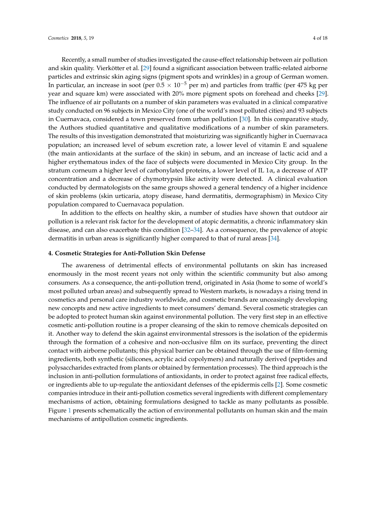Recently, a small number of studies investigated the cause-effect relationship between air pollution and skin quality. Vierkötter et al. [\[29\]](#page-12-12) found a significant association between traffic-related airborne particles and extrinsic skin aging signs (pigment spots and wrinkles) in a group of German women. In particular, an increase in soot (per  $0.5 \times 10^{-5}$  per m) and particles from traffic (per 475 kg per year and square km) were associated with 20% more pigment spots on forehead and cheeks [\[29\]](#page-12-12). The influence of air pollutants on a number of skin parameters was evaluated in a clinical comparative study conducted on 96 subjects in Mexico City (one of the world's most polluted cities) and 93 subjects in Cuernavaca, considered a town preserved from urban pollution [\[30\]](#page-12-13). In this comparative study, the Authors studied quantitative and qualitative modifications of a number of skin parameters. The results of this investigation demonstrated that moisturizing was significantly higher in Cuernavaca population; an increased level of sebum excretion rate, a lower level of vitamin E and squalene (the main antioxidants at the surface of the skin) in sebum, and an increase of lactic acid and a higher erythematous index of the face of subjects were documented in Mexico City group. In the stratum corneum a higher level of carbonylated proteins, a lower level of IL  $1\alpha$ , a decrease of ATP concentration and a decrease of chymotrypsin like activity were detected. A clinical evaluation conducted by dermatologists on the same groups showed a general tendency of a higher incidence of skin problems (skin urticaria, atopy disease, hand dermatitis, dermographism) in Mexico City population compared to Cuernavaca population.

In addition to the effects on healthy skin, a number of studies have shown that outdoor air pollution is a relevant risk factor for the development of atopic dermatitis, a chronic inflammatory skin disease, and can also exacerbate this condition [\[32](#page-12-15)[–34\]](#page-12-16). As a consequence, the prevalence of atopic dermatitis in urban areas is significantly higher compared to that of rural areas [\[34\]](#page-12-16).

#### **4. Cosmetic Strategies for Anti-Pollution Skin Defense**

The awareness of detrimental effects of environmental pollutants on skin has increased enormously in the most recent years not only within the scientific community but also among consumers. As a consequence, the anti-pollution trend, originated in Asia (home to some of world's most polluted urban areas) and subsequently spread to Western markets, is nowadays a rising trend in cosmetics and personal care industry worldwide, and cosmetic brands are unceasingly developing new concepts and new active ingredients to meet consumers' demand. Several cosmetic strategies can be adopted to protect human skin against environmental pollution. The very first step in an effective cosmetic anti-pollution routine is a proper cleansing of the skin to remove chemicals deposited on it. Another way to defend the skin against environmental stressors is the isolation of the epidermis through the formation of a cohesive and non-occlusive film on its surface, preventing the direct contact with airborne pollutants; this physical barrier can be obtained through the use of film-forming ingredients, both synthetic (silicones, acrylic acid copolymers) and naturally derived (peptides and polysaccharides extracted from plants or obtained by fermentation processes). The third approach is the inclusion in anti-pollution formulations of antioxidants, in order to protect against free radical effects, or ingredients able to up-regulate the antioxidant defenses of the epidermis cells [\[2\]](#page-11-1). Some cosmetic companies introduce in their anti-pollution cosmetics several ingredients with different complementary mechanisms of action, obtaining formulations designed to tackle as many pollutants as possible. Figure [1](#page-4-0) presents schematically the action of environmental pollutants on human skin and the main mechanisms of antipollution cosmetic ingredients.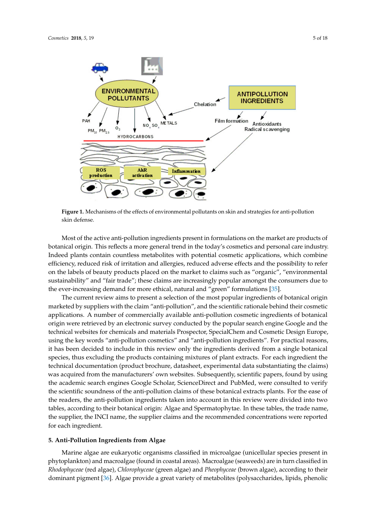<span id="page-4-0"></span>

**Figure 1.** Mechanisms of the effects of environmental pollutants on skin and strategies for anti-**Figure 1.** Mechanisms of the effects of environmental pollutants on skin and strategies for anti-pollution skin defense.

Most of the active anti-pollution ingredients present in formulations on the market are products botanical origin. This reflects a more general trend in the today's cosmetics and personal care industry. Indeed plants contain countless metabolites with potential cosmetic applications, which combine efficiency, reduced risk of irritation and allergies, reduced adverse effects and the possibility to refer on the labels of beauty products placed on the market to claims such as "organic", "environmental sustainability" and "fair trade"; these claims are increasingly popular amongst the consumers due to the ever-increasing demand for more ethical, natural and "green" formulations [\[35\]](#page-12-17). Most of the active anti-pollution ingredients present in formulations on the market are products of

The current review aims to present a selection of the most popular ingredients of botanical origin [35]. applications. A number of commercially available anti-pollution cosmetic ingredients of botanical origin in the origin were retrieved by an electronic survey conducted by the popular search engine Google and the technical websites for chemicals and materials Prospector, SpecialChem and Cosmetic Design Europe, consider a number of consistent and simulated all compressive process of process and "anti-pollution ingredients". For practical reasons, it has been decided to include in this review only the ingredients derived from a single botanical species, thus excluding the products containing mixtures of plant extracts. For each ingredient the technical documentation (product brochure, datasheet, experimental data substantiating the claims) was acquired from the manufacturers' own websites. Subsequently, scientific papers, found by using the academic search engines Google Scholar, ScienceDirect and PubMed, were consulted to verify the scientific soundness of the anti-pollution claims of these botanical extracts plants. For the ease of the readers, the anti-pollution ingredients taken into account in this review were divided into two tables, according to their botanical origin: Algae and Spermatophytae. In these tables, the trade name, the supplier, the INCI name, the supplier claims and the recommended concentrations were reported<br>Concentrations of the supplier  $\mathbf{F}_{\text{tot}}$  extracts plants. For the anti-polarization in  $\mathbf{F}_{\text{tot}}$ marketed by suppliers with the claim "anti-pollution", and the scientific rationale behind their cosmetic origin were retrieved by an electronic survey conducted by the popular search engine Google and the for each ingredient.

# **5. Anti-Pollution Ingredients from Algae and School original original original original original original original or**

Marine algae are eukaryotic organisms classified in microalgae (unicellular species present in phytoplankton) and macroalgae (found in coastal areas). Macroalgae (seaweeds) are in turn classified in dominant pigment [\[36\]](#page-12-18). Algae provide a great variety of metabolites (polysaccharides, lipids, phenolic *Rhodophyceae* (red algae), *Chlorophyceae* (green algae) and *Pheophyceae* (brown algae), according to their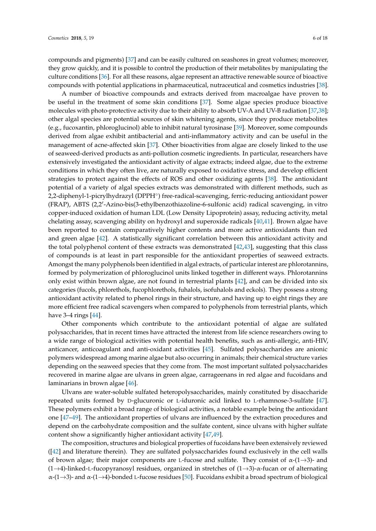compounds and pigments) [\[37\]](#page-12-19) and can be easily cultured on seashores in great volumes; moreover, they grow quickly, and it is possible to control the production of their metabolites by manipulating the culture conditions [\[36\]](#page-12-18). For all these reasons, algae represent an attractive renewable source of bioactive compounds with potential applications in pharmaceutical, nutraceutical and cosmetics industries [\[38\]](#page-12-20).

A number of bioactive compounds and extracts derived from macroalgae have proven to be useful in the treatment of some skin conditions [\[37\]](#page-12-19). Some algae species produce bioactive molecules with photo-protective activity due to their ability to absorb UV-A and UV-B radiation [\[37](#page-12-19)[,38\]](#page-12-20); other algal species are potential sources of skin whitening agents, since they produce metabolites (e.g., fucoxantin, phloroglucinol) able to inhibit natural tyrosinase [\[39\]](#page-13-0). Moreover, some compounds derived from algae exhibit antibacterial and anti-inflammatory activity and can be useful in the management of acne-affected skin [\[37\]](#page-12-19). Other bioactivities from algae are closely linked to the use of seaweed-derived products as anti-pollution cosmetic ingredients. In particular, researchers have extensively investigated the antioxidant activity of algae extracts; indeed algae, due to the extreme conditions in which they often live, are naturally exposed to oxidative stress, and develop efficient strategies to protect against the effects of ROS and other oxidizing agents [\[38\]](#page-12-20). The antioxidant potential of a variety of algal species extracts was demonstrated with different methods, such as 2,2-diphenyl-1-picrylhydrazyl (DPPH<sup>°</sup>) free-radical-scavenging, ferric-reducing antioxidant power (FRAP), ABTS (2,2'-Azino-bis(3-ethylbenzothiazoline-6-sulfonic acid) radical scavenging, in vitro copper-induced oxidation of human LDL (Low Density Lipoprotein) assay, reducing activity, metal chelating assay, scavenging ability on hydroxyl and superoxide radicals [\[40,](#page-13-1)[41\]](#page-13-2). Brown algae have been reported to contain comparatively higher contents and more active antioxidants than red and green algae [\[42\]](#page-13-3). A statistically significant correlation between this antioxidant activity and the total polyphenol content of these extracts was demonstrated [\[42](#page-13-3)[,43\]](#page-13-4), suggesting that this class of compounds is at least in part responsible for the antioxidant properties of seaweed extracts. Amongst the many polyphenols been identified in algal extracts, of particular interest are phlorotannins, formed by polymerization of phloroglucinol units linked together in different ways. Phlorotannins only exist within brown algae, are not found in terrestrial plants [\[42\]](#page-13-3), and can be divided into six categories (fucols, phlorethols, fucophlorethols, fuhalols, isofuhalols and eckols). They possess a strong antioxidant activity related to phenol rings in their structure, and having up to eight rings they are more efficient free radical scavengers when compared to polyphenols from terrestrial plants, which have 3–4 rings [\[44\]](#page-13-5).

Other components which contribute to the antioxidant potential of algae are sulfated polysaccharides, that in recent times have attracted the interest from life science researchers owing to a wide range of biological activities with potential health benefits, such as anti-allergic, anti-HIV, anticancer, anticoagulant and anti-oxidant activities [\[45\]](#page-13-6). Sulfated polysaccharides are anionic polymers widespread among marine algae but also occurring in animals; their chemical structure varies depending on the seaweed species that they come from. The most important sulfated polysaccharides recovered in marine algae are ulvans in green algae, carrageenans in red algae and fucoidans and laminarians in brown algae [\[46\]](#page-13-7).

Ulvans are water-soluble sulfated heteropolysaccharides, mainly constituted by disaccharide repeated units formed by D-glucuronic or L-iduronic acid linked to L-rhamnose-3-sulfate [\[47\]](#page-13-8). These polymers exhibit a broad range of biological activities, a notable example being the antioxidant one [\[47](#page-13-8)[–49\]](#page-13-9). The antioxidant properties of ulvans are influenced by the extraction procedures and depend on the carbohydrate composition and the sulfate content, since ulvans with higher sulfate content show a significantly higher antioxidant activity [\[47,](#page-13-8)[49\]](#page-13-9).

The composition, structures and biological properties of fucoidans have been extensively reviewed ([\[42\]](#page-13-3) and literature therein). They are sulfated polysaccharides found exclusively in the cell walls of brown algae; their major components are L-fucose and sulfate. They consist of  $\alpha$ -(1→3)- and (1→4)-linked-L-fucopyranosyl residues, organized in stretches of  $(1\rightarrow3)$ - $\alpha$ -fucan or of alternating  $\alpha$ -(1→3)- and  $\alpha$ -(1→4)-bonded L-fucose residues [\[50\]](#page-13-10). Fucoidans exhibit a broad spectrum of biological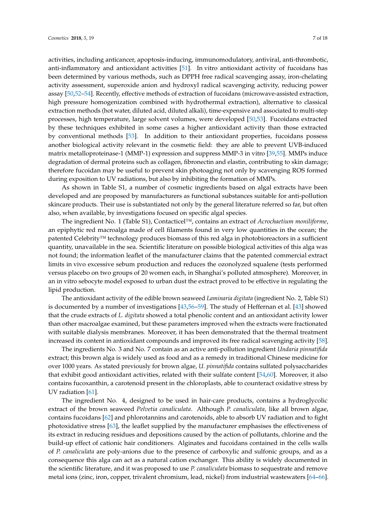activities, including anticancer, apoptosis-inducing, immunomodulatory, antiviral, anti-thrombotic, anti-inflammatory and antioxidant activities [\[51\]](#page-13-11). In vitro antioxidant activity of fucoidans has been determined by various methods, such as DPPH free radical scavenging assay, iron-chelating activity assessment, superoxide anion and hydroxyl radical scavenging activity, reducing power assay [\[50](#page-13-10)[,52–](#page-13-12)[54\]](#page-13-13). Recently, effective methods of extraction of fucoidans (microwave-assisted extraction, high pressure homogenization combined with hydrothermal extraction), alternative to classical extraction methods (hot water, diluted acid, diluted alkali), time-expensive and associated to multi-step processes, high temperature, large solvent volumes, were developed [\[50](#page-13-10)[,53\]](#page-13-14). Fucoidans extracted by these techniques exhibited in some cases a higher antioxidant activity than those extracted by conventional methods [\[53\]](#page-13-14). In addition to their antioxidant properties, fucoidans possess another biological activity relevant in the cosmetic field: they are able to prevent UVB-induced matrix metalloproteinase-1 (MMP-1) expression and suppress MMP-3 in vitro [\[39,](#page-13-0)[55\]](#page-13-15). MMPs induce degradation of dermal proteins such as collagen, fibronectin and elastin, contributing to skin damage; therefore fucoidan may be useful to prevent skin photoaging not only by scavenging ROS formed during exposition to UV radiations, but also by inhibiting the formation of MMPs.

As shown in Table S1, a number of cosmetic ingredients based on algal extracts have been developed and are proposed by manufacturers as functional substances suitable for anti-pollution skincare products. Their use is substantiated not only by the general literature referred so far, but often also, when available, by investigations focused on specific algal species.

The ingredient No. 1 (Table S1), Contacticel™, contains an extract of *Acrochaetium moniliforme*, an epiphytic red macroalga made of cell filaments found in very low quantities in the ocean; the patented Celebrity™ technology produces biomass of this red alga in photobioreactors in a sufficient quantity, unavailable in the sea. Scientific literature on possible biological activities of this alga was not found; the information leaflet of the manufacturer claims that the patented commercial extract limits in vivo excessive sebum production and reduces the ozonolyzed squalene (tests performed versus placebo on two groups of 20 women each, in Shanghai's polluted atmosphere). Moreover, in an in vitro sebocyte model exposed to urban dust the extract proved to be effective in regulating the lipid production.

The antioxidant activity of the edible brown seaweed *Laminaria digitata* (ingredient No. 2, Table S1) is documented by a number of investigations [\[43,](#page-13-4)[56](#page-13-16)[–59\]](#page-13-17). The study of Heffernan et al. [\[43\]](#page-13-4) showed that the crude extracts of *L. digitata* showed a total phenolic content and an antioxidant activity lower than other macroalgae examined, but these parameters improved when the extracts were fractionated with suitable dialysis membranes. Moreover, it has been demonstrated that the thermal treatment increased its content in antioxidant compounds and improved its free radical scavenging activity [\[58\]](#page-13-18).

The ingredients No. 3 and No. 7 contain as an active anti-pollution ingredient *Undaria pinnatifida* extract; this brown alga is widely used as food and as a remedy in traditional Chinese medicine for over 1000 years. As stated previously for brown algae, *U. pinnatifida* contains sulfated polysaccharides that exhibit good antioxidant activities, related with their sulfate content [\[54](#page-13-13)[,60\]](#page-14-0). Moreover, it also contains fucoxanthin, a carotenoid present in the chloroplasts, able to counteract oxidative stress by UV radiation [\[61\]](#page-14-1).

The ingredient No. 4, designed to be used in hair-care products, contains a hydroglycolic extract of the brown seaweed *Pelvetia canaliculata*. Although *P. canaliculata,* like all brown algae, contains fucoidans [\[62\]](#page-14-2) and phlorotannins and carotenoids, able to absorb UV radiation and to fight photoxidative stress [\[63\]](#page-14-3), the leaflet supplied by the manufacturer emphasises the effectiveness of its extract in reducing residues and depositions caused by the action of pollutants, chlorine and the build-up effect of cationic hair conditioners. Alginates and fucoidans contained in the cells walls of *P. canaliculata* are poly-anions due to the presence of carboxylic and sulfonic groups, and as a consequence this alga can act as a natural cation exchanger. This ability is widely documented in the scientific literature, and it was proposed to use *P. canaliculata* biomass to sequestrate and remove metal ions (zinc, iron, copper, trivalent chromium, lead, nickel) from industrial wastewaters [\[64–](#page-14-4)[66\]](#page-14-5).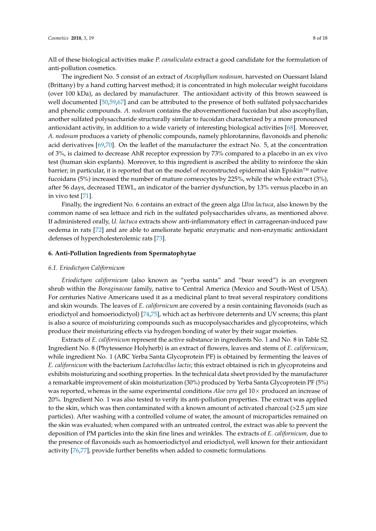All of these biological activities make *P. canaliculata* extract a good candidate for the formulation of anti-pollution cosmetics.

The ingredient No. 5 consist of an extract of *Ascophyllum nodosum,* harvested on Ouessant Island (Brittany) by a hand cutting harvest method; it is concentrated in high molecular weight fucoidans (over 100 kDa), as declared by manufacturer. The antioxidant activity of this brown seaweed is well documented [\[50,](#page-13-10)[59](#page-13-17)[,67\]](#page-14-6) and can be attributed to the presence of both sulfated polysaccharides and phenolic compounds. *A. nodosum* contains the abovementioned fucoidan but also ascophyllan, another sulfated polysaccharide structurally similar to fucoidan characterized by a more pronounced antioxidant activity, in addition to a wide variety of interesting biological activities [\[68\]](#page-14-7). Moreover, *A. nodosum* produces a variety of phenolic compounds, namely phlorotannins, flavonoids and phenolic acid derivatives [\[69](#page-14-8)[,70\]](#page-14-9). On the leaflet of the manufacturer the extract No. 5, at the concentration of 3%, is claimed to decrease AhR receptor expression by 73% compared to a placebo in an ex vivo test (human skin explants). Moreover, to this ingredient is ascribed the ability to reinforce the skin barrier; in particular, it is reported that on the model of reconstructed epidermal skin Episkin™ native fucoidans (5%) increased the number of mature corneocytes by 225%, while the whole extract (3%), after 56 days, decreased TEWL, an indicator of the barrier dysfunction, by 13% versus placebo in an in vivo test [\[71\]](#page-14-10).

Finally, the ingredient No. 6 contains an extract of the green alga *Ulva lactuca*, also known by the common name of sea lettuce and rich in the sulfated polysaccharides ulvans, as mentioned above. If administered orally, *U. lactuca* extracts show anti-inflammatory effect in carrageenan-induced paw oedema in rats [\[72\]](#page-14-11) and are able to ameliorate hepatic enzymatic and non-enzymatic antioxidant defenses of hypercholesterolemic rats [\[73\]](#page-14-12).

# **6. Anti-Pollution Ingredients from Spermatophytae**

#### *6.1. Eriodictyon Californicum*

*Eriodictyon californicum* (also known as "yerba santa" and "bear weed") is an evergreen shrub within the *Boraginaceae* family, native to Central America (Mexico and South-West of USA). For centuries Native Americans used it as a medicinal plant to treat several respiratory conditions and skin wounds. The leaves of *E. californicum* are covered by a resin containing flavonoids (such as eriodictyol and homoeriodictyol) [\[74,](#page-14-13)[75\]](#page-14-14), which act as herbivore deterrents and UV screens; this plant is also a source of moisturizing compounds such as mucopolysaccharides and glycoproteins, which produce their moisturizing effects via hydrogen bonding of water by their sugar moieties.

Extracts of *E. californicum* represent the active substance in ingredients No. 1 and No. 8 in Table S2. Ingredient No. 8 (Phytessence Holyherb) is an extract of flowers, leaves and stems of *E. californicum*, while ingredient No. 1 (ABC Yerba Santa Glycoprotein PF) is obtained by fermenting the leaves of *E. californicum* with the bacterium *Lactobacillus lactis*; this extract obtained is rich in glycoproteins and exhibits moisturizing and soothing properties. In the technical data sheet provided by the manufacturer a remarkable improvement of skin moisturization (30%) produced by Yerba Santa Glycoprotein PF (5%) was reported, whereas in the same experimental conditions *Aloe vera* gel 10× produced an increase of 20%. Ingredient No. 1 was also tested to verify its anti-pollution properties. The extract was applied to the skin, which was then contaminated with a known amount of activated charcoal  $(>2.5 \mu m)$  size particles). After washing with a controlled volume of water, the amount of microparticles remained on the skin was evaluated; when compared with an untreated control, the extract was able to prevent the deposition of PM particles into the skin fine lines and wrinkles. The extracts of *E. californicum,* due to the presence of flavonoids such as homoeriodictyol and eriodictyol, well known for their antioxidant activity [\[76,](#page-14-15)[77\]](#page-14-16), provide further benefits when added to cosmetic formulations.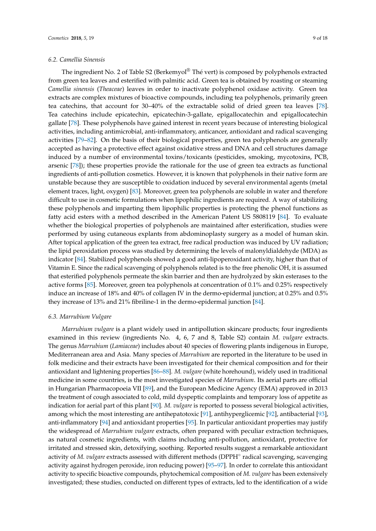## *6.2. Camellia Sinensis*

The ingredient No. 2 of Table S2 (Berkemyol® Thé vert) is composed by polyphenols extracted from green tea leaves and esterified with palmitic acid. Green tea is obtained by roasting or steaming *Camellia sinensis* (*Theaceae*) leaves in order to inactivate polyphenol oxidase activity. Green tea extracts are complex mixtures of bioactive compounds, including tea polyphenols, primarily green tea catechins, that account for 30–40% of the extractable solid of dried green tea leaves [\[78\]](#page-14-17). Tea catechins include epicatechin, epicatechin-3-gallate, epigallocatechin and epigallocatechin gallate [\[78\]](#page-14-17). These polyphenols have gained interest in recent years because of interesting biological activities, including antimicrobial, anti-inflammatory, anticancer, antioxidant and radical scavenging activities [\[79](#page-14-18)[–82\]](#page-15-0). On the basis of their biological properties, green tea polyphenols are generally accepted as having a protective effect against oxidative stress and DNA and cell structures damage induced by a number of environmental toxins/toxicants (pesticides, smoking, mycotoxins, PCB, arsenic [\[78\]](#page-14-17)); these properties provide the rationale for the use of green tea extracts as functional ingredients of anti-pollution cosmetics. However, it is known that polyphenols in their native form are unstable because they are susceptible to oxidation induced by several environmental agents (metal element traces, light, oxygen) [\[83\]](#page-15-1). Moreover, green tea polyphenols are soluble in water and therefore difficult to use in cosmetic formulations when lipophilic ingredients are required. A way of stabilizing these polyphenols and imparting them lipophilic properties is protecting the phenol functions as fatty acid esters with a method described in the American Patent US 5808119 [\[84\]](#page-15-2). To evaluate whether the biological properties of polyphenols are maintained after esterification, studies were performed by using cutaneous explants from abdominoplasty surgery as a model of human skin. After topical application of the green tea extract, free radical production was induced by UV radiation; the lipid peroxidation process was studied by determining the levels of malonyldialdehyde (MDA) as indicator [\[84\]](#page-15-2). Stabilized polyphenols showed a good anti-lipoperoxidant activity, higher than that of Vitamin E. Since the radical scavenging of polyphenols related is to the free phenolic OH, it is assumed that esterified polyphenols permeate the skin barrier and then are hydrolyzed by skin esterases to the active forms [\[85\]](#page-15-3). Moreover, green tea polyphenols at concentration of 0.1% and 0.25% respectively induce an increase of 18% and 40% of collagen IV in the dermo-epidermal junction; at 0.25% and 0.5% they increase of 13% and 21% fibriline-1 in the dermo-epidermal junction [\[84\]](#page-15-2).

## *6.3. Marrubium Vulgare*

*Marrubium vulgare* is a plant widely used in antipollution skincare products; four ingredients examined in this review (ingredients No. 4, 6, 7 and 8, Table S2) contain *M. vulgare* extracts. The genus *Marrubium* (*Lamiaceae*) includes about 40 species of flowering plants indigenous in Europe, Mediterranean area and Asia. Many species of *Marrubium* are reported in the literature to be used in folk medicine and their extracts have been investigated for their chemical composition and for their antioxidant and lightening properties [\[86–](#page-15-4)[88\]](#page-15-5). *M. vulgare* (white horehound), widely used in traditional medicine in some countries, is the most investigated species of *Marrubium*. Its aerial parts are official in Hungarian Pharmacopoeia VII [\[89\]](#page-15-6), and the European Medicine Agency (EMA) approved in 2013 the treatment of cough associated to cold, mild dyspeptic complaints and temporary loss of appetite as indication for aerial part of this plant [\[90\]](#page-15-7). *M. vulgare* is reported to possess several biological activities, among which the most interesting are antihepatotoxic [\[91\]](#page-15-8), antihyperglicemic [\[92\]](#page-15-9), antibacterial [\[93\]](#page-15-10), anti-inflammatory [\[94\]](#page-15-11) and antioxidant properties [\[95\]](#page-15-12). In particular antioxidant properties may justify the widespread of *Marrubium vulgare* extracts, often prepared with peculiar extraction techniques, as natural cosmetic ingredients, with claims including anti-pollution, antioxidant, protective for irritated and stressed skin, detoxifying, soothing. Reported results suggest a remarkable antioxidant activity of *M. vulgare* extracts assessed with different methods (DPPH◦ radical scavenging, scavenging activity against hydrogen peroxide, iron reducing power) [\[95](#page-15-12)[–97\]](#page-15-13). In order to correlate this antioxidant activity to specific bioactive compounds, phytochemical composition of *M. vulgare* has been extensively investigated; these studies, conducted on different types of extracts, led to the identification of a wide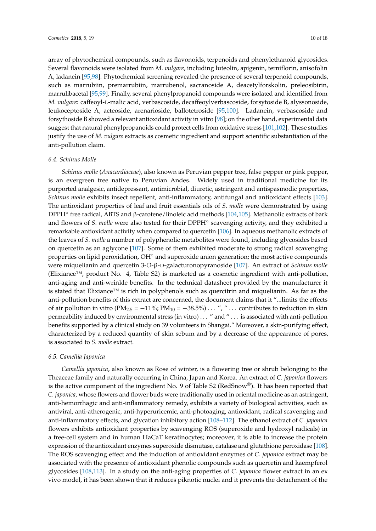array of phytochemical compounds, such as flavonoids, terpenoids and phenylethanoid glycosides. Several flavonoids were isolated from *M. vulgare*, including luteolin, apigenin, terniflorin, anisofolin A, ladanein [\[95,](#page-15-12)[98\]](#page-15-14). Phytochemical screening revealed the presence of several terpenoid compounds, such as marrubiin, premarrubiin, marrubenol, sacranoside A, deacetylforskolin, preleosibirin, marrulibacetal [\[95,](#page-15-12)[99\]](#page-15-15). Finally, several phenylpropanoid compounds were isolated and identified from *M. vulgare*: caffeoyl-L-malic acid, verbascoside, decaffeoylverbascoside, forsytoside B, alyssonoside, leukoceptoside A, acteoside, arenarioside, ballotetroside [\[95,](#page-15-12)[100\]](#page-15-16). Ladanein, verbascoside and forsythoside B showed a relevant antioxidant activity in vitro [\[98\]](#page-15-14); on the other hand, experimental data suggest that natural phenylpropanoids could protect cells from oxidative stress [\[101,](#page-16-0)[102\]](#page-16-1). These studies justify the use of *M. vulgare* extracts as cosmetic ingredient and support scientific substantiation of the anti-pollution claim.

#### *6.4. Schinus Molle*

*Schinus molle* (*Anacardiaceae*), also known as Peruvian pepper tree, false pepper or pink pepper, is an evergreen tree native to Peruvian Andes. Widely used in traditional medicine for its purported analgesic, antidepressant, antimicrobial, diuretic, astringent and antispasmodic properties, *Schinus molle* exhibits insect repellent, anti-inflammatory, antifungal and antioxidant effects [\[103\]](#page-16-2). The antioxidant properties of leaf and fruit essentials oils of *S. molle* were demonstrated by using DPPH<sup>°</sup> free radical, ABTS and β-carotene/linoleic acid methods [\[104](#page-16-3)[,105\]](#page-16-4). Methanolic extracts of bark and flowers of *S. molle* were also tested for their DPPH<sup>°</sup> scavenging activity, and they exhibited a remarkable antioxidant activity when compared to quercetin [\[106\]](#page-16-5). In aqueous methanolic extracts of the leaves of *S. molle* a number of polyphenolic metabolites were found, including glycosides based on quercetin as an aglycone [\[107\]](#page-16-6). Some of them exhibited moderate to strong radical scavenging properties on lipid peroxidation, OH<sup>°</sup> and superoxide anion generation; the most active compounds were miquelianin and quercetin 3-*O*-β-D-galacturonopyranoside [\[107\]](#page-16-6). An extract of *Schinus molle* (Elixiance™, product No. 4, Table S2) is marketed as a cosmetic ingredient with anti-pollution, anti-aging and anti-wrinkle benefits. In the technical datasheet provided by the manufacturer it is stated that Elixiance™ is rich in polyphenols such as quercitrin and miquelianin. As far as the anti-pollution benefits of this extract are concerned, the document claims that it "...limits the effects of air pollution in vitro (PM<sub>2.5</sub> = −11%; PM<sub>10</sub> = −38.5%) . . . ", " . . . contributes to reduction in skin permeability induced by environmental stress (in vitro) . . . " and " . . . is associated with anti-pollution benefits supported by a clinical study on 39 volunteers in Shangai." Moreover, a skin-purifying effect, characterized by a reduced quantity of skin sebum and by a decrease of the appearance of pores, is associated to *S. molle* extract.

#### *6.5. Camellia Japonica*

*Camellia japonica*, also known as Rose of winter, is a flowering tree or shrub belonging to the Theaceae family and naturally occurring in China, Japan and Korea. An extract of *C. japonica* flowers is the active component of the ingredient No. 9 of Table S2 (RedSnow®). It has been reported that *C. japonica,* whose flowers and flower buds were traditionally used in oriental medicine as an astringent, anti-hemorrhagic and anti-inflammatory remedy, exhibits a variety of biological activities, such as antiviral, anti-atherogenic, anti-hyperuricemic, anti-photoaging, antioxidant, radical scavenging and anti-inflammatory effects, and glycation inhibitory action [\[108–](#page-16-7)[112\]](#page-16-8). The ethanol extract of *C. japonica* flowers exhibits antioxidant properties by scavenging ROS (superoxide and hydroxyl radicals) in a free-cell system and in human HaCaT keratinocytes; moreover, it is able to increase the protein expression of the antioxidant enzymes superoxide dismutase, catalase and glutathione peroxidase [\[108\]](#page-16-7). The ROS scavenging effect and the induction of antioxidant enzymes of *C. japonica* extract may be associated with the presence of antioxidant phenolic compounds such as quercetin and kaempferol glycosides [\[108,](#page-16-7)[113\]](#page-16-9). In a study on the anti-aging properties of *C. japonica* flower extract in an ex vivo model, it has been shown that it reduces piknotic nuclei and it prevents the detachment of the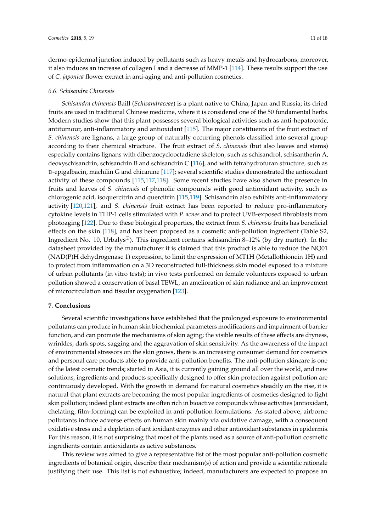dermo-epidermal junction induced by pollutants such as heavy metals and hydrocarbons; moreover, it also induces an increase of collagen I and a decrease of MMP-1 [\[114\]](#page-16-10). These results support the use of *C. japonica* flower extract in anti-aging and anti-pollution cosmetics.

#### *6.6. Schisandra Chinensis*

*Schisandra chinensis* Baill (*Schisandraceae*) is a plant native to China, Japan and Russia; its dried fruits are used in traditional Chinese medicine, where it is considered one of the 50 fundamental herbs. Modern studies show that this plant possesses several biological activities such as anti-hepatotoxic, antitumour, anti-inflammatory and antioxidant [\[115\]](#page-16-11). The major constituents of the fruit extract of *S. chinensis* are lignans, a large group of naturally occurring phenols classified into several group according to their chemical structure. The fruit extract of *S. chinensis* (but also leaves and stems) especially contains lignans with dibenzocyclooctadiene skeleton, such as schisandrol, schisantherin A, deoxyschisandrin, schisandrin B and schisandrin C [\[116\]](#page-16-12), and with tetrahydrofuran structure, such as D-epigalbacin, machilin G and chicanine [\[117\]](#page-16-13); several scientific studies demonstrated the antioxidant activity of these compounds [\[115](#page-16-11)[,117](#page-16-13)[,118\]](#page-16-14). Some recent studies have also shown the presence in fruits and leaves of *S. chinensis* of phenolic compounds with good antioxidant activity, such as chlorogenic acid, isoquercitrin and quercitrin [\[115](#page-16-11)[,119\]](#page-16-15). Schisandrin also exhibits anti-inflammatory activity [\[120,](#page-17-0)[121\]](#page-17-1), and *S. chinensis* fruit extract has been reported to reduce pro-inflammatory cytokine levels in THP-1 cells stimulated with *P. acnes* and to protect UVB-exposed fibroblasts from photoaging [\[122\]](#page-17-2). Due to these biological properties, the extract from *S. chinensis* fruits has beneficial effects on the skin [\[118\]](#page-16-14), and has been proposed as a cosmetic anti-pollution ingredient (Table S2, Ingredient No. 10, Urbalys<sup>®</sup>). This ingredient contains schisandrin 8–12% (by dry matter). In the datasheet provided by the manufacturer it is claimed that this product is able to reduce the NQ01 (NAD(P)H dehydrogenase 1) expression, to limit the expression of MT1H (Metallothionein 1H) and to protect from inflammation on a 3D reconstructed full-thickness skin model exposed to a mixture of urban pollutants (in vitro tests); in vivo tests performed on female volunteers exposed to urban pollution showed a conservation of basal TEWL, an amelioration of skin radiance and an improvement of microcirculation and tissular oxygenation [\[123\]](#page-17-3).

# **7. Conclusions**

Several scientific investigations have established that the prolonged exposure to environmental pollutants can produce in human skin biochemical parameters modifications and impairment of barrier function, and can promote the mechanisms of skin aging; the visible results of these effects are dryness, wrinkles, dark spots, sagging and the aggravation of skin sensitivity. As the awareness of the impact of environmental stressors on the skin grows, there is an increasing consumer demand for cosmetics and personal care products able to provide anti-pollution benefits. The anti-pollution skincare is one of the latest cosmetic trends; started in Asia, it is currently gaining ground all over the world, and new solutions, ingredients and products specifically designed to offer skin protection against pollution are continuously developed. With the growth in demand for natural cosmetics steadily on the rise, it is natural that plant extracts are becoming the most popular ingredients of cosmetics designed to fight skin pollution; indeed plant extracts are often rich in bioactive compounds whose activities (antioxidant, chelating, film-forming) can be exploited in anti-pollution formulations. As stated above, airborne pollutants induce adverse effects on human skin mainly via oxidative damage, with a consequent oxidative stress and a depletion of ant ioxidant enzymes and other antioxidant substances in epidermis. For this reason, it is not surprising that most of the plants used as a source of anti-pollution cosmetic ingredients contain antioxidants as active substances.

This review was aimed to give a representative list of the most popular anti-pollution cosmetic ingredients of botanical origin, describe their mechanism(s) of action and provide a scientific rationale justifying their use. This list is not exhaustive; indeed, manufacturers are expected to propose an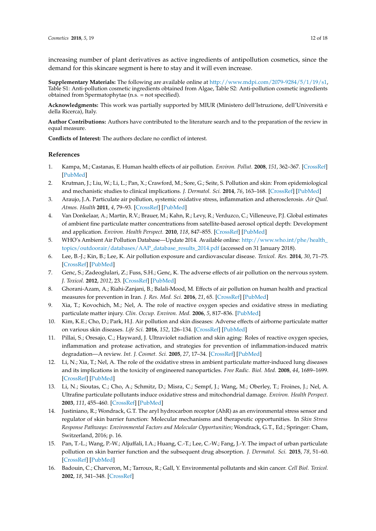increasing number of plant derivatives as active ingredients of antipollution cosmetics, since the demand for this skincare segment is here to stay and it will even increase.

**Supplementary Materials:** The following are available online at [http://www.mdpi.com/2079-9284/5/1/19/s1,](http://www.mdpi.com/2079-9284/5/1/19/s1) Table S1: Anti-pollution cosmetic ingredients obtained from Algae, Table S2: Anti-pollution cosmetic ingredients obtained from Spermatophytae (n.s. = not specified).

**Acknowledgments:** This work was partially supported by MIUR (Ministero dell'Istruzione, dell'Università e della Ricerca), Italy.

**Author Contributions:** Authors have contributed to the literature search and to the preparation of the review in equal measure.

**Conflicts of Interest:** The authors declare no conflict of interest.

## **References**

- <span id="page-11-0"></span>1. Kampa, M.; Castanas, E. Human health effects of air pollution. *Environ. Pollut.* **2008**, *151*, 362–367. [\[CrossRef\]](http://dx.doi.org/10.1016/j.envpol.2007.06.012) [\[PubMed\]](http://www.ncbi.nlm.nih.gov/pubmed/17646040)
- <span id="page-11-1"></span>2. Krutman, J.; Liu, W.; Li, L.; Pan, X.; Crawford, M.; Sore, G.; Seite, S. Pollution and skin: From epidemiological and mechanistic studies to clinical implications. *J. Dermatol. Sci.* **2014**, *76*, 163–168. [\[CrossRef\]](http://dx.doi.org/10.1016/j.jdermsci.2014.08.008) [\[PubMed\]](http://www.ncbi.nlm.nih.gov/pubmed/25278222)
- <span id="page-11-2"></span>3. Araujo, J.A. Particulate air pollution, systemic oxidative stress, inflammation and atherosclerosis. *Air Qual. Atmos. Health* **2011**, *4*, 79–93. [\[CrossRef\]](http://dx.doi.org/10.1007/s11869-010-0101-8) [\[PubMed\]](http://www.ncbi.nlm.nih.gov/pubmed/21461032)
- <span id="page-11-3"></span>4. Van Donkelaar, A.; Martin, R.V.; Brauer, M.; Kahn, R.; Levy, R.; Verduzco, C.; Villeneuve, P.J. Global estimates of ambient fine particulate matter concentrations from satellite-based aerosol optical depth: Development and application. *Environ. Health Perspect.* **2010**, *118*, 847–855. [\[CrossRef\]](http://dx.doi.org/10.1289/ehp.0901623) [\[PubMed\]](http://www.ncbi.nlm.nih.gov/pubmed/20519161)
- <span id="page-11-4"></span>5. WHO's Ambient Air Pollution Database—Update 2014. Available online: [http://www.who.int/phe/health\\_](http://www.who.int/phe/health_topics/outdoorair/databases/AAP_database_results_2014.pdf) [topics/outdoorair/databases/AAP\\_database\\_results\\_2014.pdf](http://www.who.int/phe/health_topics/outdoorair/databases/AAP_database_results_2014.pdf) (accessed on 31 January 2018).
- <span id="page-11-5"></span>6. Lee, B.-J.; Kin, B.; Lee, K. Air pollution exposure and cardiovascular disease. *Toxicol. Res.* **2014**, *30*, 71–75. [\[CrossRef\]](http://dx.doi.org/10.5487/TR.2014.30.2.071) [\[PubMed\]](http://www.ncbi.nlm.nih.gov/pubmed/25071915)
- <span id="page-11-6"></span>7. Genc, S.; Zadeoglulari, Z.; Fuss, S.H.; Genc, K. The adverse effects of air pollution on the nervous system. *J. Toxicol.* **2012**, *2012*, 23. [\[CrossRef\]](http://dx.doi.org/10.1155/2012/782462) [\[PubMed\]](http://www.ncbi.nlm.nih.gov/pubmed/22523490)
- <span id="page-11-7"></span>8. Ghorani-Azam, A.; Riahi-Zanjani, B.; Balali-Mood, M. Effects of air pollution on human health and practical measures for prevention in Iran. *J. Res. Med. Sci.* **2016**, *21*, 65. [\[CrossRef\]](http://dx.doi.org/10.4103/1735-1995.189646) [\[PubMed\]](http://www.ncbi.nlm.nih.gov/pubmed/27904610)
- <span id="page-11-8"></span>9. Xia, T.; Kovochich, M.; Nel, A. The role of reactive oxygen species and oxidative stress in mediating particulate matter injury. *Clin. Occup. Environ. Med.* **2006**, *5*, 817–836. [\[PubMed\]](http://www.ncbi.nlm.nih.gov/pubmed/17110294)
- <span id="page-11-9"></span>10. Kim, K.E.; Cho, D.; Park, H.J. Air pollution and skin diseases: Adverse effects of airborne particulate matter on various skin diseases. *Life Sci.* **2016**, *152*, 126–134. [\[CrossRef\]](http://dx.doi.org/10.1016/j.lfs.2016.03.039) [\[PubMed\]](http://www.ncbi.nlm.nih.gov/pubmed/27018067)
- <span id="page-11-10"></span>11. Pillai, S.; Oresajo, C.; Hayward, J. Ultraviolet radiation and skin aging: Roles of reactive oxygen species, inflammation and protease activation, and strategies for prevention of inflammation-induced matrix degradation—A review. *Int. J. Cosmet. Sci.* **2005**, *27*, 17–34. [\[CrossRef\]](http://dx.doi.org/10.1111/j.1467-2494.2004.00241.x) [\[PubMed\]](http://www.ncbi.nlm.nih.gov/pubmed/18492178)
- <span id="page-11-11"></span>12. Li, N.; Xia, T.; Nel, A. The role of the oxidative stress in ambient particulate matter-induced lung diseases and its implications in the toxicity of engineered nanoparticles. *Free Radic. Biol. Med.* **2008**, *44*, 1689–1699. [\[CrossRef\]](http://dx.doi.org/10.1016/j.freeradbiomed.2008.01.028) [\[PubMed\]](http://www.ncbi.nlm.nih.gov/pubmed/18313407)
- <span id="page-11-12"></span>13. Li, N.; Sioutas, C.; Cho, A.; Schmitz, D.; Misra, C.; Sempf, J.; Wang, M.; Oberley, T.; Froines, J.; Nel, A. Ultrafine particulate pollutants induce oxidative stress and mitochondrial damage. *Environ. Health Perspect.* **2003**, *111*, 455–460. [\[CrossRef\]](http://dx.doi.org/10.1289/ehp.6000) [\[PubMed\]](http://www.ncbi.nlm.nih.gov/pubmed/12676598)
- <span id="page-11-13"></span>14. Justiniano, R.; Wondrack, G.T. The aryl hydrocarbon receptor (AhR) as an environmental stress sensor and regulator of skin barrier function: Molecular mechanisms and therapeutic opportunities. In *Skin Stress Response Pathways: Environmental Factors and Molecular Opportunities*; Wondrack, G.T., Ed.; Springer: Cham, Switzerland, 2016; p. 16.
- <span id="page-11-14"></span>15. Pan, T.-L.; Wang, P.-W.; Aljuffali, I.A.; Huang, C.-T.; Lee, C.-W.; Fang, J.-Y. The impact of urban particulate pollution on skin barrier function and the subsequent drug absorption. *J. Dermatol. Sci.* **2015**, *78*, 51–60. [\[CrossRef\]](http://dx.doi.org/10.1016/j.jdermsci.2015.01.011) [\[PubMed\]](http://www.ncbi.nlm.nih.gov/pubmed/25680853)
- <span id="page-11-15"></span>16. Badouin, C.; Charveron, M.; Tarroux, R.; Gall, Y. Environmental pollutants and skin cancer. *Cell Biol. Toxicol.* **2002**, *18*, 341–348. [\[CrossRef\]](http://dx.doi.org/10.1023/A:1019540316060)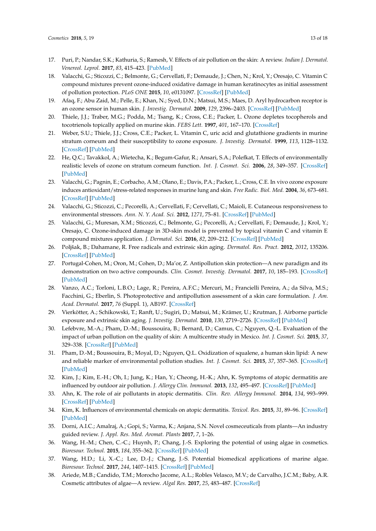- <span id="page-12-0"></span>17. Puri, P.; Nandar, S.K.; Kathuria, S.; Ramesh, V. Effects of air pollution on the skin: A review. *Indian J. Dermatol. Venereol. Leprol.* **2017**, *83*, 415–423. [\[PubMed\]](http://www.ncbi.nlm.nih.gov/pubmed/28195077)
- <span id="page-12-1"></span>18. Valacchi, G.; Sticozzi, C.; Belmonte, G.; Cervellati, F.; Demaude, J.; Chen, N.; Krol, Y.; Oresajo, C. Vitamin C compound mixtures prevent ozone-induced oxidative damage in human keratinocytes as initial assessment of pollution protection. *PLoS ONE* **2015**, *10*, e0131097. [\[CrossRef\]](http://dx.doi.org/10.1371/journal.pone.0131097) [\[PubMed\]](http://www.ncbi.nlm.nih.gov/pubmed/26270818)
- <span id="page-12-2"></span>19. Afaq, F.; Abu Zaid, M.; Pelle, E.; Khan, N.; Syed, D.N.; Matsui, M.S.; Maes, D. Aryl hydrocarbon receptor is an ozone sensor in human skin. *J. Investig. Dermatol.* **2009**, *129*, 2396–2403. [\[CrossRef\]](http://dx.doi.org/10.1038/jid.2009.85) [\[PubMed\]](http://www.ncbi.nlm.nih.gov/pubmed/19536146)
- <span id="page-12-3"></span>20. Thiele, J.J.; Traber, M.G.; Podda, M.; Tsang, K.; Cross, C.E.; Packer, L. Ozone depletes tocopherols and tocotrienols topically applied on murine skin. *FEBS Lett.* **1997**, *401*, 167–170. [\[CrossRef\]](http://dx.doi.org/10.1016/S0014-5793(96)01463-9)
- <span id="page-12-4"></span>21. Weber, S.U.; Thiele, J.J.; Cross, C.E.; Packer, L. Vitamin C, uric acid and glutathione gradients in murine stratum corneum and their susceptibility to ozone exposure. *J. Investig. Dermatol.* **1999**, *113*, 1128–1132. [\[CrossRef\]](http://dx.doi.org/10.1046/j.1523-1747.1999.00789.x) [\[PubMed\]](http://www.ncbi.nlm.nih.gov/pubmed/10594762)
- <span id="page-12-5"></span>22. He, Q.C.; Tavakkol, A.; Wietecha, K.; Begum-Gafur, R.; Ansari, S.A.; Polefkat, T. Effects of environmentally realistic levels of ozone on stratum corneum function. *Int. J. Cosmet. Sci.* **2006**, *28*, 349–357. [\[CrossRef\]](http://dx.doi.org/10.1111/j.1467-2494.2006.00347.x) [\[PubMed\]](http://www.ncbi.nlm.nih.gov/pubmed/18489299)
- <span id="page-12-6"></span>23. Valacchi, G.; Pagnin, E.; Corbacho, A.M.; Olano, E.; Davis, P.A.; Packer, L.; Cross, C.E. In vivo ozone exposure induces antioxidant/stress-related responses in murine lung and skin. *Free Radic. Biol. Med.* **2004**, *36*, 673–681. [\[CrossRef\]](http://dx.doi.org/10.1016/j.freeradbiomed.2003.12.005) [\[PubMed\]](http://www.ncbi.nlm.nih.gov/pubmed/14980710)
- <span id="page-12-7"></span>24. Valacchi, G.; Sticozzi, C.; Pecorelli, A.; Cervellati, F.; Cervellati, C.; Maioli, E. Cutaneous responsiveness to environmental stressors. *Ann. N. Y. Acad. Sci.* **2012**, *1271*, 75–81. [\[CrossRef\]](http://dx.doi.org/10.1111/j.1749-6632.2012.06724.x) [\[PubMed\]](http://www.ncbi.nlm.nih.gov/pubmed/23050967)
- <span id="page-12-8"></span>25. Valacchi, G.; Muresan, X.M.; Sticozzi, C.; Belmonte, G.; Pecorelli, A.; Cervellati, F.; Demaude, J.; Krol, Y.; Oresajo, C. Ozone-induced damage in 3D-skin model is prevented by topical vitamin C and vitamin E compound mixtures application. *J. Dermatol. Sci.* **2016**, *82*, 209–212. [\[CrossRef\]](http://dx.doi.org/10.1016/j.jdermsci.2016.02.007) [\[PubMed\]](http://www.ncbi.nlm.nih.gov/pubmed/26917348)
- <span id="page-12-9"></span>26. Poljšak, B.; Dahamane, R. Free radicals and extrinsic skin aging. *Dermatol. Res. Pract.* **2012**, *2012*, 135206. [\[CrossRef\]](http://dx.doi.org/10.1155/2012/135206) [\[PubMed\]](http://www.ncbi.nlm.nih.gov/pubmed/22505880)
- <span id="page-12-10"></span>27. Portugal-Cohen, M.; Oron, M.; Cohen, D.; Ma'or, Z. Antipollution skin protection—A new paradigm and its demonstration on two active compounds. *Clin. Cosmet. Investig. Dermatol.* **2017**, *10*, 185–193. [\[CrossRef\]](http://dx.doi.org/10.2147/CCID.S129437) [\[PubMed\]](http://www.ncbi.nlm.nih.gov/pubmed/28553131)
- <span id="page-12-11"></span>28. Vanzo, A.C.; Torloni, L.B.O.; Lage, R.; Pereira, A.F.C.; Mercuri, M.; Francielli Pereira, A.; da Silva, M.S.; Facchini, G.; Eberlin, S. Photoprotective and antipollution assessment of a skin care formulation. *J. Am. Acad. Dermatol.* **2017**, *76* (Suppl. 1), AB197. [\[CrossRef\]](http://dx.doi.org/10.1016/j.jaad.2017.04.769)
- <span id="page-12-12"></span>29. Vierkötter, A.; Schikowski, T.; Ranft, U.; Sugiri, D.; Matsui, M.; Krämer, U.; Krutman, J. Airborne particle exposure and extrinsic skin aging. *J. Investig. Dermatol.* **2010**, *130*, 2719–2726. [\[CrossRef\]](http://dx.doi.org/10.1038/jid.2010.204) [\[PubMed\]](http://www.ncbi.nlm.nih.gov/pubmed/20664556)
- <span id="page-12-13"></span>30. Lefebvre, M.-A.; Pham, D.-M.; Boussouira, B.; Bernard, D.; Camus, C.; Nguyen, Q.-L. Evaluation of the impact of urban pollution on the quality of skin: A multicentre study in Mexico. *Int. J. Cosmet. Sci.* **2015**, *37*, 329–338. [\[CrossRef\]](http://dx.doi.org/10.1111/ics.12203) [\[PubMed\]](http://www.ncbi.nlm.nih.gov/pubmed/25655908)
- <span id="page-12-14"></span>31. Pham, D.-M.; Boussouira, B.; Moyal, D.; Nguyen, Q.L. Oxidization of squalene, a human skin lipid: A new and reliable marker of environmental pollution studies. *Int. J. Cosmet. Sci.* **2015**, *37*, 357–365. [\[CrossRef\]](http://dx.doi.org/10.1111/ics.12208) [\[PubMed\]](http://www.ncbi.nlm.nih.gov/pubmed/25656265)
- <span id="page-12-15"></span>32. Kim, J.; Kim, E.-H.; Oh, I.; Jung, K.; Han, Y.; Cheong, H.-K.; Ahn, K. Symptoms of atopic dermatitis are influenced by outdoor air pollution. *J. Allergy Clin. Immunol.* **2013**, *132*, 495–497. [\[CrossRef\]](http://dx.doi.org/10.1016/j.jaci.2013.04.019) [\[PubMed\]](http://www.ncbi.nlm.nih.gov/pubmed/23763977)
- 33. Ahn, K. The role of air pollutants in atopic dermatitis. *Clin. Rev. Allergy Immunol.* **2014**, *134*, 993–999. [\[CrossRef\]](http://dx.doi.org/10.1016/j.jaci.2014.09.023) [\[PubMed\]](http://www.ncbi.nlm.nih.gov/pubmed/25439225)
- <span id="page-12-16"></span>34. Kim, K. Influences of environmental chemicals on atopic dermatitis. *Toxicol. Res.* **2015**, *31*, 89–96. [\[CrossRef\]](http://dx.doi.org/10.5487/TR.2015.31.2.089) [\[PubMed\]](http://www.ncbi.nlm.nih.gov/pubmed/26191377)
- <span id="page-12-17"></span>35. Dorni, A.I.C.; Amalraj, A.; Gopi, S.; Varma, K.; Anjana, S.N. Novel cosmeceuticals from plants—An industry guided review. *J. Appl. Res. Med. Aromat. Plants* **2017**, *7*, 1–26.
- <span id="page-12-18"></span>36. Wang, H.-M.; Chen, C.-C.; Huynh, P.; Chang, J.-S. Exploring the potential of using algae in cosmetics. *Bioresour. Technol.* **2015**, *184*, 355–362. [\[CrossRef\]](http://dx.doi.org/10.1016/j.biortech.2014.12.001) [\[PubMed\]](http://www.ncbi.nlm.nih.gov/pubmed/25537136)
- <span id="page-12-19"></span>37. Wang, H.D.; Li, X.-C.; Lee, D.-J.; Chang, J.-S. Potential biomedical applications of marine algae. *Bioresour. Technol.* **2017**, *244*, 1407–1415. [\[CrossRef\]](http://dx.doi.org/10.1016/j.biortech.2017.05.198) [\[PubMed\]](http://www.ncbi.nlm.nih.gov/pubmed/28697977)
- <span id="page-12-20"></span>38. Ariede, M.B.; Candido, T.M.; Morocho Jacome, A.L.; Robles Velasco, M.V.; de Carvalho, J.C.M.; Baby, A.R. Cosmetic attributes of algae—A review. *Algal Res.* **2017**, *25*, 483–487. [\[CrossRef\]](http://dx.doi.org/10.1016/j.algal.2017.05.019)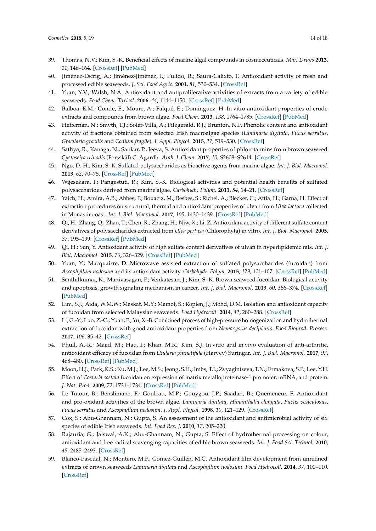- <span id="page-13-0"></span>39. Thomas, N.V.; Kim, S.-K. Beneficial effects of marine algal compounds in cosmeceuticals. *Mar. Drugs* **2013**, *11*, 146–164. [\[CrossRef\]](http://dx.doi.org/10.3390/md11010146) [\[PubMed\]](http://www.ncbi.nlm.nih.gov/pubmed/23344156)
- <span id="page-13-1"></span>40. Jiménez-Escrig, A.; Jiménez-Jiménez, I.; Pulido, R.; Saura-Calixto, F. Antioxidant activity of fresh and processed edible seaweeds. *J. Sci. Food Agric.* **2001**, *81*, 530–534. [\[CrossRef\]](http://dx.doi.org/10.1002/jsfa.842)
- <span id="page-13-2"></span>41. Yuan, Y.V.; Walsh, N.A. Antioxidant and antiproliferative activities of extracts from a variety of edible seaweeds. *Food Chem. Toxicol.* **2006**, *44*, 1144–1150. [\[CrossRef\]](http://dx.doi.org/10.1016/j.fct.2006.02.002) [\[PubMed\]](http://www.ncbi.nlm.nih.gov/pubmed/16554116)
- <span id="page-13-3"></span>42. Balboa, E.M.; Conde, E.; Moure, A.; Falqué, E.; Dominguez, H. In vitro antioxidant properties of crude extracts and compounds from brown algae. *Food Chem.* **2013**, *138*, 1764–1785. [\[CrossRef\]](http://dx.doi.org/10.1016/j.foodchem.2012.11.026) [\[PubMed\]](http://www.ncbi.nlm.nih.gov/pubmed/23411309)
- <span id="page-13-4"></span>43. Heffernan, N.; Smyth, T.J.; Soler-Villa, A.; Fitzgerald, R.J.; Brunton, N.P. Phenolic content and antioxidant activity of fractions obtained from selected Irish macroalgae species (*Laminaria digitata*, *Fucus serratus*, *Gracilaria gracilis* and *Codium fragile*). *J. Appl. Phycol.* **2015**, *27*, 519–530. [\[CrossRef\]](http://dx.doi.org/10.1007/s10811-014-0291-9)
- <span id="page-13-5"></span>44. Sathya, R.; Kanaga, N.; Sankar, P.; Jeeva, S. Antioxidant properties of phlorotannins from brown seaweed *Cystoseira trinodis* (Forsskål) C. Agardh. *Arab. J. Chem.* **2017**, *10*, S2608–S2614. [\[CrossRef\]](http://dx.doi.org/10.1016/j.arabjc.2013.09.039)
- <span id="page-13-6"></span>45. Ngo, D.-H.; Kim, S.-K. Sulfated polysaccharides as bioactive agents from marine algae. *Int. J. Biol. Macromol.* **2013**, *62*, 70–75. [\[CrossRef\]](http://dx.doi.org/10.1016/j.ijbiomac.2013.08.036) [\[PubMed\]](http://www.ncbi.nlm.nih.gov/pubmed/23994790)
- <span id="page-13-7"></span>46. Wijesekara, I.; Pangestuti, R.; Kim, S.-K. Biological activities and potential health benefits of sulfated polysaccharides derived from marine algae. *Carbohydr. Polym.* **2011**, *84*, 14–21. [\[CrossRef\]](http://dx.doi.org/10.1016/j.carbpol.2010.10.062)
- <span id="page-13-8"></span>47. Yaich, H.; Amira, A.B.; Abbes, F.; Bouaziz, M.; Besbes, S.; Richel, A.; Blecker, C.; Attia, H.; Garna, H. Effect of extraction procedures on structural, thermal and antioxidant properties of ulvan from *Ulva lactuca* collected in Monastir coast. *Int. J. Biol. Macromol.* **2017**, *105*, 1430–1439. [\[CrossRef\]](http://dx.doi.org/10.1016/j.ijbiomac.2017.07.141) [\[PubMed\]](http://www.ncbi.nlm.nih.gov/pubmed/28754621)
- 48. Qi, H.; Zhang, Q.; Zhao, T.; Chen, R.; Zhang, H.; Niw, X.; Li, Z. Antioxidant activity of different sulfate content derivatives of polysaccharides extracted from *Ulva pertusa* (Chlorophyta) in vitro. *Int. J. Biol. Macromol.* **2005**, *37*, 195–199. [\[CrossRef\]](http://dx.doi.org/10.1016/j.ijbiomac.2005.10.008) [\[PubMed\]](http://www.ncbi.nlm.nih.gov/pubmed/16310843)
- <span id="page-13-9"></span>49. Qi, H.; Sun, Y. Antioxidant activity of high sulfate content derivatives of ulvan in hyperlipidemic rats. *Int. J. Biol. Macromol.* **2015**, *76*, 326–329. [\[CrossRef\]](http://dx.doi.org/10.1016/j.ijbiomac.2015.03.006) [\[PubMed\]](http://www.ncbi.nlm.nih.gov/pubmed/25773592)
- <span id="page-13-10"></span>50. Yuan, Y.; Macquairre, D. Microwave assisted extraction of sulfated polysaccharides (fucoidan) from *Ascophyllum nodosum* and its antioxidant activity. *Carbohydr. Polym.* **2015**, *129*, 101–107. [\[CrossRef\]](http://dx.doi.org/10.1016/j.carbpol.2015.04.057) [\[PubMed\]](http://www.ncbi.nlm.nih.gov/pubmed/26050894)
- <span id="page-13-11"></span>51. Senthilkumar, K.; Manivasagan, P.; Venkatesan, J.; Kim, S.-K. Brown seaweed fucoidan: Biological activity and apoptosis, growth signaling mechanism in cancer. *Int. J. Biol. Macromol.* **2013**, *60*, 366–374. [\[CrossRef\]](http://dx.doi.org/10.1016/j.ijbiomac.2013.06.030) [\[PubMed\]](http://www.ncbi.nlm.nih.gov/pubmed/23817097)
- <span id="page-13-12"></span>52. Lim, S.J.; Aida, W.M.W.; Maskat, M.Y.; Mamot, S.; Ropien, J.; Mohd, D.M. Isolation and antioxidant capacity of fucoidan from selected Malaysian seaweeds. *Food Hydrocoll.* **2014**, *42*, 280–288. [\[CrossRef\]](http://dx.doi.org/10.1016/j.foodhyd.2014.03.007)
- <span id="page-13-14"></span>53. Li, G.-Y.; Luo, Z.-C.; Yuan, F.; Yu, X.-B. Combined process of high-pressure homogenization and hydrothermal extraction of fucoidan with good antioxidant properties from *Nemacystus decipients*. *Food Bioprod. Process.* **2017**, *106*, 35–42. [\[CrossRef\]](http://dx.doi.org/10.1016/j.fbp.2017.08.002)
- <span id="page-13-13"></span>54. Phull, A.-R.; Majid, M.; Haq, I.; Khan, M.R.; Kim, S.J. In vitro and in vivo evaluation of anti-arthritic, antioxidant efficacy of fucoidan from *Undaria pinnatifida* (Harvey) Suringar. *Int. J. Biol. Macromol.* **2017**, *97*, 468–480. [\[CrossRef\]](http://dx.doi.org/10.1016/j.ijbiomac.2017.01.051) [\[PubMed\]](http://www.ncbi.nlm.nih.gov/pubmed/28104371)
- <span id="page-13-15"></span>55. Moon, H.J.; Park, K.S.; Ku, M.J.; Lee, M.S.; Jeong, S.H.; Imbs, T.I.; Zvyagintseva, T.N.; Ermakova, S.P.; Lee, Y.H. Effect of *Costaria costata* fucoidan on expression of matrix metalloproteinase-1 promoter, mRNA, and protein. *J. Nat. Prod.* **2009**, *72*, 1731–1734. [\[CrossRef\]](http://dx.doi.org/10.1021/np800797v) [\[PubMed\]](http://www.ncbi.nlm.nih.gov/pubmed/19807114)
- <span id="page-13-16"></span>56. Le Tutour, B.; Benslimane, F.; Gouleau, M.P.; Gouygou, J.P.; Saadan, B.; Quemeneur, F. Antioxidant and pro-oxidant activities of the brown algae, *Laminaria digitata*, *Himanthalia elongata*, *Fucus vesiculosus*, *Fucus serratus* and *Ascophyllum nodosum*. *J. Appl. Phycol.* **1998**, *10*, 121–129. [\[CrossRef\]](http://dx.doi.org/10.1023/A:1008007313731)
- 57. Cox, S.; Abu-Ghannam, N.; Gupta, S. An assessment of the antioxidant and antimicrobial activity of six species of edible Irish seaweeds. *Int. Food Res. J.* **2010**, *17*, 205–220.
- <span id="page-13-18"></span>58. Rajauria, G.; Jaiswal, A.K.; Abu-Ghannam, N.; Gupta, S. Effect of hydrothermal processing on colour, antioxidant and free radical scavenging capacities of edible brown seaweeds. *Int. J. Food Sci. Technol.* **2010**, *45*, 2485–2493. [\[CrossRef\]](http://dx.doi.org/10.1111/j.1365-2621.2010.02449.x)
- <span id="page-13-17"></span>59. Blanco-Pascual, N.; Montero, M.P.; Gómez-Guillén, M.C. Antioxidant film development from unrefined extracts of brown seaweeds *Laminaria digitata* and *Ascophyllum nodosum*. *Food Hydrocoll.* **2014**, *37*, 100–110. [\[CrossRef\]](http://dx.doi.org/10.1016/j.foodhyd.2013.10.021)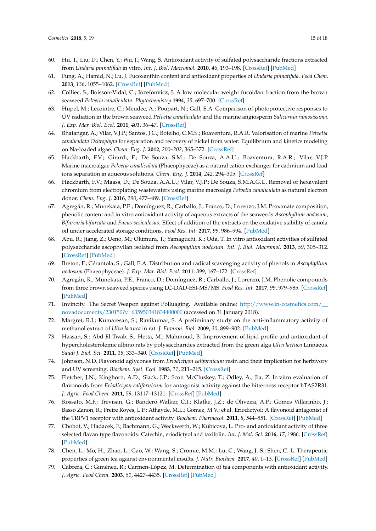- <span id="page-14-0"></span>60. Hu, T.; Liu, D.; Chen, Y.; Wu, J.; Wang, S. Antioxidant activity of sulfated polysaccharide fractions extracted from *Undaria pinnatifida* in vitro. *Int. J. Biol. Macromol.* **2010**, *46*, 193–198. [\[CrossRef\]](http://dx.doi.org/10.1016/j.ijbiomac.2009.12.004) [\[PubMed\]](http://www.ncbi.nlm.nih.gov/pubmed/20025899)
- <span id="page-14-1"></span>61. Fung, A.; Hamid, N.; Lu, J. Fucoxanthin content and antioxidant properties of *Undaria pinnatifida*. *Food Chem.* **2013**, *136*, 1055–1062. [\[CrossRef\]](http://dx.doi.org/10.1016/j.foodchem.2012.09.024) [\[PubMed\]](http://www.ncbi.nlm.nih.gov/pubmed/23122162)
- <span id="page-14-2"></span>62. Colliec, S.; Boisson-Vidal, C.; Jozefonvicz, J. A low molecular weight fucoidan fraction from the brown seaweed *Pelvetia canaliculata*. *Phytochemistry* **1994**, *35*, 697–700. [\[CrossRef\]](http://dx.doi.org/10.1016/S0031-9422(00)90590-9)
- <span id="page-14-3"></span>63. Hupel, M.; Lecointre, C.; Meudec, A.; Poupart, N.; Gall, E.A. Comparison of photoprotective responses to UV radiation in the brown seaweed *Pelvetia canaliculata* and the marine angiosperm *Salicornia ramosissima*. *J. Exp. Mar. Biol. Ecol.* **2011**, *401*, 36–47. [\[CrossRef\]](http://dx.doi.org/10.1016/j.jembe.2011.03.004)
- <span id="page-14-4"></span>64. Bhatangar, A.; Vilar, V.J.P.; Santos, J.C.; Botelho, C.M.S.; Boaventura, R.A.R. Valorisation of marine *Pelvetia canaliculata Ochrophyta* for separation and recovery of nickel from water: Equilibrium and kinetics modeling on Na-loaded algae. *Chem. Eng. J.* **2012**, *200–202*, 365–372. [\[CrossRef\]](http://dx.doi.org/10.1016/j.cej.2012.06.071)
- 65. Hackbarth, F.V.; Girardi, F.; De Souza, S.M.; De Souza, A.A.U.; Boaventura, R.A.R.; Vilar, V.J.P. Marine macroalgae *Pelvetia canaliculata* (Phaeophyceae) as a natural cation exchanger for cadmium and lead ions separation in aqueous solutions. *Chem. Eng. J.* **2014**, *242*, 294–305. [\[CrossRef\]](http://dx.doi.org/10.1016/j.cej.2013.12.043)
- <span id="page-14-5"></span>66. Hackbarth, F.V.; Maass, D.; De Souza, A.A.U.; Vilar, V.J.P.; De Souza, S.M.A.G.U. Removal of hexavalent chromium from electroplating wastewaters using marine macroalga *Pelvetia canaliculata* as natural electron donor. *Chem. Eng. J.* **2016**, *290*, 477–489. [\[CrossRef\]](http://dx.doi.org/10.1016/j.cej.2016.01.070)
- <span id="page-14-6"></span>67. Agregán, R.; Munekata, P.E.; Domínguez, R.; Carballo, J.; Franco, D.; Lorenzo, J.M. Proximate composition, phenolic content and in vitro antioxidant activity of aqueous extracts of the seaweeds *Ascophyllum nodosum*, *Bifurcaria bifurcata* and *Fucus vesiculosus*. Effect of addition of the extracts on the oxidative stability of canola oil under accelerated storage conditions. *Food Res. Int.* **2017**, *99*, 986–994. [\[PubMed\]](http://www.ncbi.nlm.nih.gov/pubmed/28865625)
- <span id="page-14-7"></span>68. Abu, R.; Jiang, Z.; Ueno, M.; Okimura, T.; Yamaguchi, K.; Oda, T. In vitro antioxidant activities of sulfated polysaccharide ascophyllan isolated from *Ascophyllum nodosum*. *Int. J. Biol. Macromol.* **2013**, *59*, 305–312. [\[CrossRef\]](http://dx.doi.org/10.1016/j.ijbiomac.2013.04.035) [\[PubMed\]](http://www.ncbi.nlm.nih.gov/pubmed/23643974)
- <span id="page-14-8"></span>69. Breton, F.; Cérantola, S.; Gall, E.A. Distribution and radical scavenging activity of phenols in *Ascophyllum nodosum* (Phaeophyceae). *J. Exp. Mar. Biol. Ecol.* **2011**, *399*, 167–172. [\[CrossRef\]](http://dx.doi.org/10.1016/j.jembe.2011.01.002)
- <span id="page-14-9"></span>70. Agregán, R.; Munekata, P.E.; Franco, D.; Domínguez, R.; Carballo, J.; Lorenzo, J.M. Phenolic compounds from three brown seaweed species using LC-DAD-ESI-MS/MS. *Food Res. Int.* **2017**, *99*, 979–985. [\[CrossRef\]](http://dx.doi.org/10.1016/j.foodres.2017.03.043) [\[PubMed\]](http://www.ncbi.nlm.nih.gov/pubmed/28865624)
- <span id="page-14-10"></span>71. Invincity. The Secret Weapon against Polluaging. Available online: [http://www.in-cosmetics.com/\\_\\_](http://www.in-cosmetics.com/__novadocuments/230150?v=635950341834400000) [novadocuments/230150?v=635950341834400000](http://www.in-cosmetics.com/__novadocuments/230150?v=635950341834400000) (accessed on 31 January 2018).
- <span id="page-14-11"></span>72. Margret, R.J.; Kumaresan, S.; Ravikumar, S. A preliminary study on the anti-inflammatory activity of methanol extract of *Ulva lactuca* in rat. *J. Environ. Biol.* **2009**, *30*, 899–902. [\[PubMed\]](http://www.ncbi.nlm.nih.gov/pubmed/20143726)
- <span id="page-14-12"></span>73. Hassan, S.; Abd El-Twab, S.; Hetta, M.; Mahmoud, B. Improvement of lipid profile and antioxidant of hypercholesterolemic albino rats by polysaccharides extracted from the green alga *Ulva lactuca* Linnaeus. *Saudi J. Biol. Sci.* **2011**, *18*, 333–340. [\[CrossRef\]](http://dx.doi.org/10.1016/j.sjbs.2011.01.005) [\[PubMed\]](http://www.ncbi.nlm.nih.gov/pubmed/23961145)
- <span id="page-14-13"></span>74. Johnson, N.D. Flavonoid aglycones from *Eriodictyon californicum* resin and their implication for herbivory and UV screening. *Biochem. Syst. Ecol.* **1983**, *11*, 211–215. [\[CrossRef\]](http://dx.doi.org/10.1016/0305-1978(83)90056-X)
- <span id="page-14-14"></span>75. Fletcher, J.N.; Kinghorn, A.D.; Slack, J.P.; Scott McCluskey, T.; Odley, A.; Jia, Z. In vitro evaluation of flavonoids from *Eriodictyon californicum* for antagonist activity against the bitterness receptor hTAS2R31. *J. Agric. Food Chem.* **2011**, *59*, 13117–13121. [\[CrossRef\]](http://dx.doi.org/10.1021/jf204359q) [\[PubMed\]](http://www.ncbi.nlm.nih.gov/pubmed/22059530)
- <span id="page-14-15"></span>76. Rossato, M.F.; Trevisan, G.; Banderó Walker, C.I.; Klafke, J.Z.; de Oliveira, A.P.; Gomes Villarinho, J.; Basso Zanon, R.; Freire Royes, L.F.; Athayde, M.L.; Gomez, M.V.; et al. Eriodictyol: A flavonoid antagonist of the TRPV1 receptor with antioxidant activity. *Biochem. Pharmacol.* **2011**, *8*, 544–551. [\[CrossRef\]](http://dx.doi.org/10.1016/j.bcp.2010.11.004) [\[PubMed\]](http://www.ncbi.nlm.nih.gov/pubmed/21087598)
- <span id="page-14-16"></span>77. Chobot, V.; Hadacek, F.; Bachmann, G.; Weckwerth, W.; Kubicova, L. Pro- and antioxidant activity of three selected flavan type flavonoids: Catechin, eriodictyol and taxifolin. *Int. J. Mol. Sci.* **2016**, *17*, 1986. [\[CrossRef\]](http://dx.doi.org/10.3390/ijms17121986) [\[PubMed\]](http://www.ncbi.nlm.nih.gov/pubmed/27898046)
- <span id="page-14-17"></span>78. Chen, L.; Mo, H.; Zhao, L.; Gao, W.; Wang, S.; Cromie, M.M.; Lu, C.; Wang, J.-S.; Shen, C.-L. Therapeutic properties of green tea against environmental insults. *J. Nutr. Biochem.* **2017**, *40*, 1–13. [\[CrossRef\]](http://dx.doi.org/10.1016/j.jnutbio.2016.05.005) [\[PubMed\]](http://www.ncbi.nlm.nih.gov/pubmed/27723473)
- <span id="page-14-18"></span>79. Cabrera, C.; Giménez, R.; Carmen-López, M. Determination of tea components with antioxidant activity. *J. Agric. Food Chem.* **2003**, *51*, 4427–4435. [\[CrossRef\]](http://dx.doi.org/10.1021/jf0300801) [\[PubMed\]](http://www.ncbi.nlm.nih.gov/pubmed/12848521)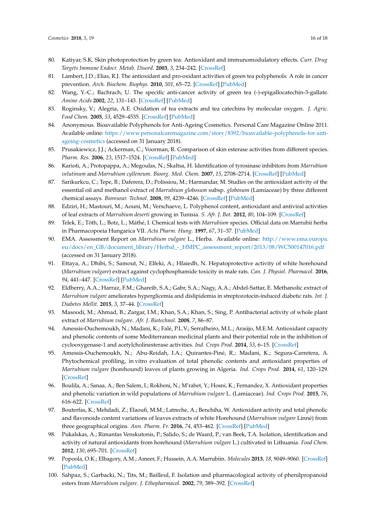- 80. Katiyar, S.K. Skin photoprotection by green tea: Antioxidant and immunomodulatory effects. *Curr. Drug Targets Immune Endocr. Metab. Disord.* **2003**, *3*, 234–242. [\[CrossRef\]](http://dx.doi.org/10.2174/1568008033340171)
- 81. Lambert, J.D.; Elias, R.J. The antioxidant and pro-oxidant activities of green tea polyphenols: A role in cancer prevention. *Arch. Biochem. Biophys.* **2010**, *501*, 65–72. [\[CrossRef\]](http://dx.doi.org/10.1016/j.abb.2010.06.013) [\[PubMed\]](http://www.ncbi.nlm.nih.gov/pubmed/20558130)
- <span id="page-15-0"></span>82. Wang, Y.-C.; Bachrach, U. The specific anti-cancer activity of green tea (-)-epigallocatechin-3-gallate. *Amino Acids* **2002**, *22*, 131–143. [\[CrossRef\]](http://dx.doi.org/10.1007/s007260200002) [\[PubMed\]](http://www.ncbi.nlm.nih.gov/pubmed/12395181)
- <span id="page-15-1"></span>83. Roginsky, V.; Alegria, A.E. Oxidation of tea extracts and tea catechins by molecular oxygen. *J. Agric. Food Chem.* **2005**, *53*, 4529–4535. [\[CrossRef\]](http://dx.doi.org/10.1021/jf040382i) [\[PubMed\]](http://www.ncbi.nlm.nih.gov/pubmed/15913321)
- <span id="page-15-2"></span>84. Anonymous. Bioavailable Polyphenols for Anti-Ageing Cosmetics. Personal Care Magazine Online 2011. Available online: [https://www.personalcaremagazine.com/story/8392/bioavailable-polyphenols-for-anti](https://www.personalcaremagazine.com/story/8392/bioavailable-polyphenols-for-anti-ageing-cosmetics)[ageing-cosmetics](https://www.personalcaremagazine.com/story/8392/bioavailable-polyphenols-for-anti-ageing-cosmetics) (accessed on 31 January 2018).
- <span id="page-15-3"></span>85. Prusakiewicz, J.J.; Ackerman, C.; Voorman, R. Comparison of skin esterase activities from different species. *Pharm. Res.* **2006**, *23*, 1517–1524. [\[CrossRef\]](http://dx.doi.org/10.1007/s11095-006-0273-y) [\[PubMed\]](http://www.ncbi.nlm.nih.gov/pubmed/16779705)
- <span id="page-15-4"></span>86. Karioti, A.; Protopappa, A.; Megoulas, N.; Skaltsa, H. Identification of tyrosinase inhibitors from *Marrubium velutinum* and *Marrubium cylleneum*. *Bioorg. Med. Chem.* **2007**, *15*, 2708–2714. [\[CrossRef\]](http://dx.doi.org/10.1016/j.bmc.2007.01.035) [\[PubMed\]](http://www.ncbi.nlm.nih.gov/pubmed/17287127)
- 87. Sarikurkcu, C.; Tepe, B.; Daferera, D.; Polissiou, M.; Harmandar, M. Studies on the antioxidant activity of the essential oil and methanol extract of *Marrubium globosum* subsp. *globosum* (Lamiaceae) by three different chemical assays. *Bioresour. Technol.* **2008**, *99*, 4239–4246. [\[CrossRef\]](http://dx.doi.org/10.1016/j.biortech.2007.08.058) [\[PubMed\]](http://www.ncbi.nlm.nih.gov/pubmed/17920880)
- <span id="page-15-5"></span>88. Edziri, H.; Mastouri, M.; Aouni, M.; Verschaeve, L. Polyphenol content, antioxidant and antiviral activities of leaf extracts of *Marrubium deserti* growing in Tunisia. *S. Afr. J. Bot.* **2012**, *80*, 104–109. [\[CrossRef\]](http://dx.doi.org/10.1016/j.sajb.2012.03.001)
- <span id="page-15-6"></span>89. Telek, E.; Töth, L.; Botz, L.; Máthé, I. Chemical tests with *Marrubium* species. Official data on Marrubii herba in Pharmacopoeia Hungarica VII. *Acta Pharm. Hung.* **1997**, *67*, 31–37. [\[PubMed\]](http://www.ncbi.nlm.nih.gov/pubmed/9163258)
- <span id="page-15-7"></span>90. EMA. Assessment Report on *Marrubium vulgare* L., Herba. Available online: [http://www.ema.europa.](http://www.ema.europa.eu/docs/en_GB/document_library/Herbal_-_HMPC_assessment_report/2013/08/WC500147016.pdf) [eu/docs/en\\_GB/document\\_library/Herbal\\_-\\_HMPC\\_assessment\\_report/2013/08/WC500147016.pdf](http://www.ema.europa.eu/docs/en_GB/document_library/Herbal_-_HMPC_assessment_report/2013/08/WC500147016.pdf) (accessed on 31 January 2018).
- <span id="page-15-8"></span>91. Ettaya, A.; Dhibi, S.; Samout, N.; Elfeki, A.; Hfaiedh, N. Hepatoprotective activity of white horehound (*Marrubium vulgare*) extract against cyclophosphamide toxicity in male rats. *Can. J. Physiol. Pharmacol.* **2016**, *94*, 441–447. [\[CrossRef\]](http://dx.doi.org/10.1139/cjpp-2015-0405) [\[PubMed\]](http://www.ncbi.nlm.nih.gov/pubmed/26886858)
- <span id="page-15-9"></span>92. Eldberry, A.A.; Harraz, F.M.; Ghareib, S.A.; Gabr, S.A.; Nagy, A.A.; Abdel-Sattar, E. Methanolic extract of *Marrubium vulgare* ameliorates hyperglicemia and dislipidemia in streptozotocin-induced diabetic rats. *Int. J. Diabetes Mellit.* **2015**, *3*, 37–44. [\[CrossRef\]](http://dx.doi.org/10.1016/j.ijdm.2011.01.004)
- <span id="page-15-10"></span>93. Masoodi, M.; Ahmad, B.; Zargar, I.M.; Khan, S.A.; Khan, S.; Sing, P. Antibacterial activity of whole plant extract of *Marrubium vulgare*. *Afr. J. Biotechnol.* **2008**, *7*, 86–87.
- <span id="page-15-11"></span>94. Amessis-Ouchemoukh, N.; Madani, K.; Falé, P.L.V.; Serralheiro, M.L.; Araújo, M.E.M. Antioxidant capacity and phenolic contents of some Mediterranean medicinal plants and their potential role in the inhibition of cyclooxygenase-1 and acetylcholinesterase activities. *Ind. Crops Prod.* **2014**, *53*, 6–15. [\[CrossRef\]](http://dx.doi.org/10.1016/j.indcrop.2013.12.008)
- <span id="page-15-12"></span>95. Amessis-Ouchemoukh, N.; Abu-Reidah, I.A.; Quirantes-Piné, R.; Madani, K.; Segura-Carretera, A. Phytochemical profiling, in vitro evaluation of total phenolic contents and antioxidant properties of *Marrubium vulgare* (horehound) leaves of plants growing in Algeria. *Ind. Crops Prod.* **2014**, *61*, 120–129. [\[CrossRef\]](http://dx.doi.org/10.1016/j.indcrop.2014.06.049)
- 96. Boulila, A.; Sanaa, A.; Ben Salem, I.; Rokbeni, N.; M'rabet, Y.; Hosni, K.; Fernandez, X. Antioxidant properties and phenolic variation in wild populations of *Marrubium vulgare* L. (Lamiaceae). *Ind. Crops Prod.* **2015**, *76*, 616–622. [\[CrossRef\]](http://dx.doi.org/10.1016/j.indcrop.2015.07.069)
- <span id="page-15-13"></span>97. Bouterfas, K.; Mehdadi, Z.; Elaoufi, M.M.; Latreche, A.; Benchiha, W. Antioxidant activity and total phenolic and flavonoids content variations of leaves extracts of white Horehound (*Marrubium vulgare* Linné) from three geographical origins. *Ann. Pharm. Fr.* **2016**, *74*, 453–462. [\[CrossRef\]](http://dx.doi.org/10.1016/j.pharma.2016.07.002) [\[PubMed\]](http://www.ncbi.nlm.nih.gov/pubmed/27553439)
- <span id="page-15-14"></span>98. Pukalskas, A.; Rimantas Venskutonis, P.; Salido, S.; de Waard, P.; van Beek, T.A. Isolation, identification and activity of natural antioxidants from horehound (*Marrubium vulgare* L.) cultivated in Lithuania. *Food Chem.* **2012**, *130*, 695–701. [\[CrossRef\]](http://dx.doi.org/10.1016/j.foodchem.2011.07.112)
- <span id="page-15-15"></span>99. Popoola, O.K.; Elbagory, A.M.; Ameer, F.; Hussein, A.A. Marrubiin. *Molecules* **2013**, *18*, 9049–9060. [\[CrossRef\]](http://dx.doi.org/10.3390/molecules18089049) [\[PubMed\]](http://www.ncbi.nlm.nih.gov/pubmed/23899837)
- <span id="page-15-16"></span>100. Sahpaz, S.; Garbacki, N.; Tits, M.; Bailleul, F. Isolation and pharmacological activity of phenilpropanoid esters from *Marrubium vulgare*. *J. Ethopharmacol.* **2002**, *79*, 389–392. [\[CrossRef\]](http://dx.doi.org/10.1016/S0378-8741(01)00415-9)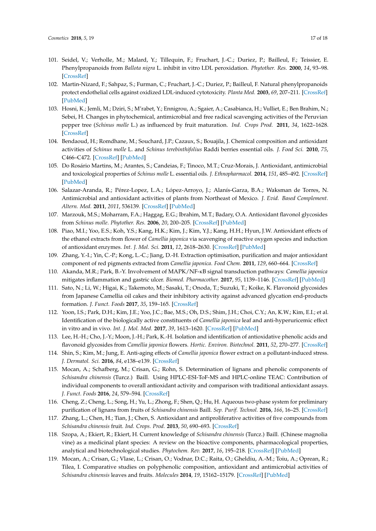- <span id="page-16-0"></span>101. Seidel, V.; Verholle, M.; Malard, Y.; Tillequin, F.; Fruchart, J.-C.; Duriez, P.; Bailleul, F.; Teissier, E. Phenylpropanoids from *Ballota nigra* L. inhibit in vitro LDL peroxidation. *Phytother. Res.* **2000**, *14*, 93–98. [\[CrossRef\]](http://dx.doi.org/10.1002/(SICI)1099-1573(200003)14:2<93::AID-PTR558>3.0.CO;2-X)
- <span id="page-16-1"></span>102. Martin-Nizard, F.; Sahpaz, S.; Furman, C.; Fruchart, J.-C.; Duriez, P.; Bailleul, F. Natural phenylpropanoids protect endothelial cells against oxidized LDL-induced cytotoxicity. *Planta Med.* **2003**, *69*, 207–211. [\[CrossRef\]](http://dx.doi.org/10.1055/s-2003-38474) [\[PubMed\]](http://www.ncbi.nlm.nih.gov/pubmed/12677522)
- <span id="page-16-2"></span>103. Hosni, K.; Jemli, M.; Dziri, S.; M'rabet, Y.; Ennigrou, A.; Sgaier, A.; Casabianca, H.; Vulliet, E.; Ben Brahim, N.; Sebei, H. Changes in phytochemical, antimicrobial and free radical scavenging activities of the Peruvian pepper tree (*Schinus molle* L.) as influenced by fruit maturation. *Ind. Crops Prod.* **2011**, *34*, 1622–1628. [\[CrossRef\]](http://dx.doi.org/10.1016/j.indcrop.2011.06.004)
- <span id="page-16-3"></span>104. Bendaoud, H.; Romdhane, M.; Souchard, J.P.; Cazaux, S.; Bouajila, J. Chemical composition and antioxidant activities of *Schinus molle* L. and *Schinus terebinthifolius* Raddi berries essential oils. *J. Food Sci.* **2010**, *75*, C466–C472. [\[CrossRef\]](http://dx.doi.org/10.1111/j.1750-3841.2010.01711.x) [\[PubMed\]](http://www.ncbi.nlm.nih.gov/pubmed/20722898)
- <span id="page-16-4"></span>105. Do Rosário Martins, M.; Arantes, S.; Candeias, F.; Tinoco, M.T.; Cruz-Morais, J. Antioxidant, antimicrobial and toxicological properties of *Schinus molle* L. essential oils. *J. Ethnopharmacol.* **2014**, *151*, 485–492. [\[CrossRef\]](http://dx.doi.org/10.1016/j.jep.2013.10.063) [\[PubMed\]](http://www.ncbi.nlm.nih.gov/pubmed/24231069)
- <span id="page-16-5"></span>106. Salazar-Aranda, R.; Pérez-Lopez, L.A.; López-Arroyo, J.; Alanís-Garza, B.A.; Waksman de Torres, N. Antimicrobial and antioxidant activities of plants from Northeast of Mexico. *J. Evid. Based Complement. Altern. Med.* **2011**, *2011*, 536139. [\[CrossRef\]](http://dx.doi.org/10.1093/ecam/nep127) [\[PubMed\]](http://www.ncbi.nlm.nih.gov/pubmed/19770266)
- <span id="page-16-6"></span>107. Marzouk, M.S.; Moharram, F.A.; Haggag, E.G.; Ibrahim, M.T.; Badary, O.A. Antioxidant flavonol glycosides from *Schinus molle*. *Phytother. Res.* **2006**, *20*, 200–205. [\[CrossRef\]](http://dx.doi.org/10.1002/ptr.1834) [\[PubMed\]](http://www.ncbi.nlm.nih.gov/pubmed/16521111)
- <span id="page-16-7"></span>108. Piao, M.I.; Yoo, E.S.; Koh, Y.S.; Kang, H.K.; Kim, J.; Kim, Y.J.; Kang, H.H.; Hyun, J.W. Antioxidant effects of the ethanol extracts from flower of *Camellia japonica* via scavenging of reactive oxygen species and induction of antioxidant enzymes. *Int. J. Mol. Sci.* **2011**, *12*, 2618–2630. [\[CrossRef\]](http://dx.doi.org/10.3390/ijms12042618) [\[PubMed\]](http://www.ncbi.nlm.nih.gov/pubmed/21731461)
- 109. Zhang, Y.-I.; Yin, C.-P.; Kong, L.-C.; Jiang, D.-H. Extraction optimisation, purification and major antioxidant component of red pigments extracted from *Camellia japonica*. *Food Chem.* **2011**, *129*, 660–664. [\[CrossRef\]](http://dx.doi.org/10.1016/j.foodchem.2011.05.001)
- 110. Akanda, M.R.; Park, B.-Y. Involvement of MAPK/NF-κB signal transduction pathways: *Camellia japonica* mitigates inflammation and gastric ulcer. *Biomed. Pharmacother.* **2017**, *95*, 1139–1146. [\[CrossRef\]](http://dx.doi.org/10.1016/j.biopha.2017.09.031) [\[PubMed\]](http://www.ncbi.nlm.nih.gov/pubmed/28926923)
- 111. Sato, N.; Li, W.; Higai, K.; Takemoto, M.; Sasaki, T.; Onoda, T.; Suzuki, T.; Koike, K. Flavonoid glycosides from Japanese Camellia oil cakes and their inhibitory activity against advanced glycation end-products formation. *J. Funct. Foods* **2017**, *35*, 159–165. [\[CrossRef\]](http://dx.doi.org/10.1016/j.jff.2017.05.043)
- <span id="page-16-8"></span>112. Yoon, I.S.; Park, D.H.; Kim, J.E.; Yoo, J.C.; Bae, M.S.; Oh, D.S.; Shim, J.H.; Choi, C.Y.; An, K.W.; Kim, E.I.; et al. Identification of the biologically active constituents of *Camellia japonica* leaf and anti-hyperuricemic effect in vitro and in vivo. *Int. J. Mol. Med.* **2017**, *39*, 1613–1620. [\[CrossRef\]](http://dx.doi.org/10.3892/ijmm.2017.2973) [\[PubMed\]](http://www.ncbi.nlm.nih.gov/pubmed/28487949)
- <span id="page-16-9"></span>113. Lee, H.-H.; Cho, J.-Y.; Moon, J.-H.; Park, K.-H. Isolation and identification of antioxidative phenolic acids and flavonoid glycosides from *Camellia japonica* flowers. *Hortic. Environ. Biotechnol.* **2011**, *52*, 270–277. [\[CrossRef\]](http://dx.doi.org/10.1007/s13580-011-0157-x)
- <span id="page-16-10"></span>114. Shin, S.; Kim, M.; Jung, E. Anti-aging effects of *Camellia japonica* flower extract on a pollutant-induced stress. *J. Dermatol. Sci.* **2016**, *84*, e138–e139. [\[CrossRef\]](http://dx.doi.org/10.1016/j.jdermsci.2016.08.415)
- <span id="page-16-11"></span>115. Mocan, A.; Schafberg, M.; Crisan, G.; Rohn, S. Determination of lignans and phenolic components of *Schisandra chinensis* (Turcz.) Baill. Using HPLC-ESI-ToF-MS and HPLC-online TEAC: Contribution of individual components to overall antioxidant activity and comparison with traditional antioxidant assays. *J. Funct. Foods* **2016**, *24*, 579–594. [\[CrossRef\]](http://dx.doi.org/10.1016/j.jff.2016.05.007)
- <span id="page-16-12"></span>116. Cheng, Z.; Cheng, L.; Song, H.; Yu, L.; Zhong, F.; Shen, Q.; Hu, H. Aqueous two-phase system for preliminary purification of lignans from fruits of *Schisandra chinensis* Baill. *Sep. Purif. Technol.* **2016**, *166*, 16–25. [\[CrossRef\]](http://dx.doi.org/10.1016/j.seppur.2016.04.013)
- <span id="page-16-13"></span>117. Zhang, L.; Chen, H.; Tian, J.; Chen, S. Antioxidant and antiproliferative activities of five compounds from *Schisandra chinensis* fruit. *Ind. Crops. Prod.* **2013**, *50*, 690–693. [\[CrossRef\]](http://dx.doi.org/10.1016/j.indcrop.2013.08.044)
- <span id="page-16-14"></span>118. Szopa, A.; Ekiert, R.; Ekiert, H. Current knowledge of *Schisandra chinensis* (Turcz.) Baill. (Chinese magnolia vine) as a medicinal plant species: A review on the bioactive components, pharmacological properties, analytical and biotechnological studies. *Phytochem. Rev.* **2017**, *16*, 195–218. [\[CrossRef\]](http://dx.doi.org/10.1007/s11101-016-9470-4) [\[PubMed\]](http://www.ncbi.nlm.nih.gov/pubmed/28424569)
- <span id="page-16-15"></span>119. Mocan, A.; Crisan, G.; Vlase, L.; Crisan, O.; Vodnar, D.C.; Raita, O.; Gheldiu, A.-M.; Toiu, A.; Oprean, R.; Tilea, I. Comparative studies on polyphenolic composition, antioxidant and antimicrobial activities of *Schisandra chinensis* leaves and fruits. *Molecules* **2014**, *19*, 15162–15179. [\[CrossRef\]](http://dx.doi.org/10.3390/molecules190915162) [\[PubMed\]](http://www.ncbi.nlm.nih.gov/pubmed/25247685)